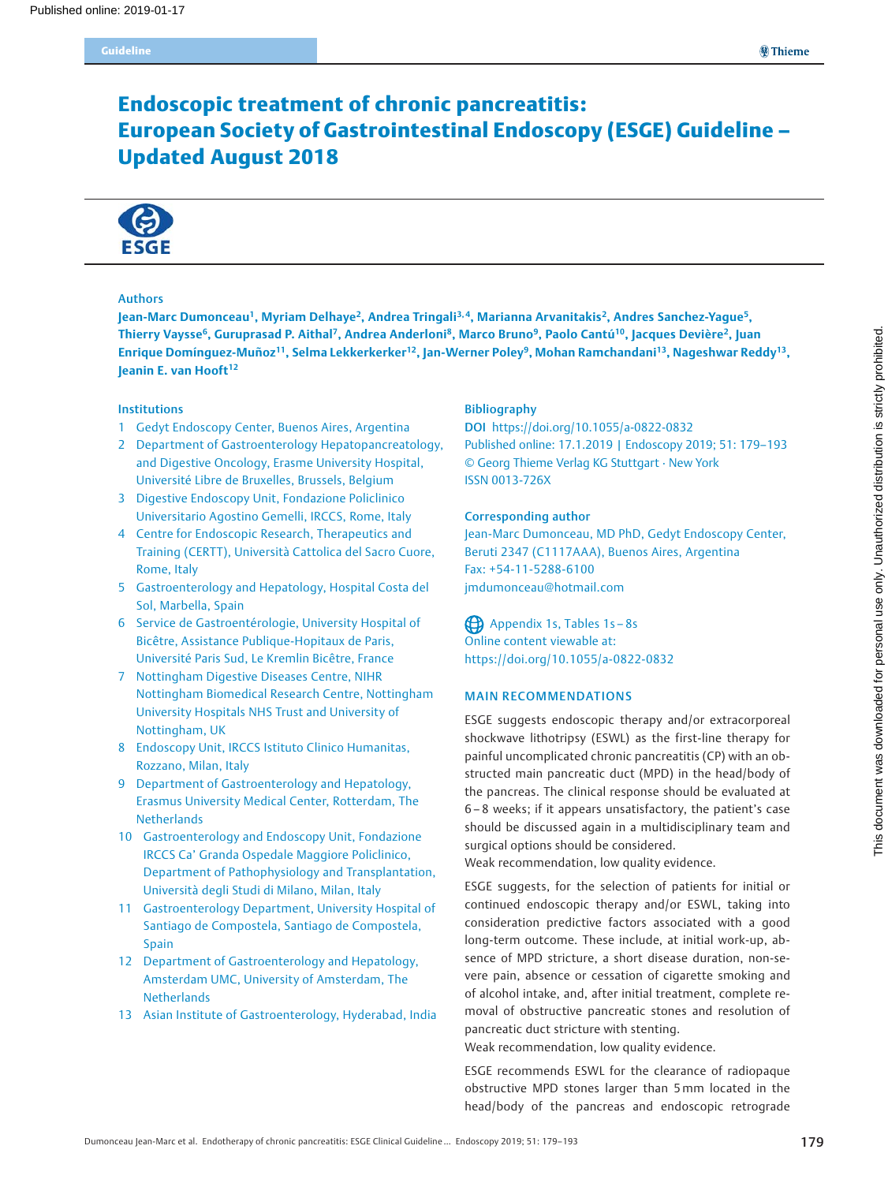# Endoscopic treatment of chronic pancreatitis: European Society of Gastrointestinal Endoscopy (ESGE) Guideline – Updated August 2018



### Authors

Jean-Marc Dumonceau<sup>1</sup>, Myriam Delhaye<sup>2</sup>, Andrea Tringali<sup>3,4</sup>, Marianna Arvanitakis<sup>2</sup>, Andres Sanchez-Yague<sup>5</sup>, Thierry Vaysse<sup>6</sup>, Guruprasad P. Aithal<sup>7</sup>, Andrea Anderloni<sup>8</sup>, Marco Bruno<sup>9</sup>, Paolo Cantú<sup>10</sup>, Jacques Devière<sup>2</sup>, Juan Enrique Domínguez-Muñoz<sup>11</sup>, Selma Lekkerkerker<sup>12</sup>, Jan-Werner Poley<sup>9</sup>, Mohan Ramchandani<sup>13</sup>, Nageshwar Reddy<sup>13</sup>, Jeanin E. van Hooft<sup>12</sup>

### Institutions

- 1 Gedyt Endoscopy Center, Buenos Aires, Argentina
- 2 Department of Gastroenterology Hepatopancreatology, and Digestive Oncology, Erasme University Hospital, Université Libre de Bruxelles, Brussels, Belgium
- 3 Digestive Endoscopy Unit, Fondazione Policlinico Universitario Agostino Gemelli, IRCCS, Rome, Italy
- 4 Centre for Endoscopic Research, Therapeutics and Training (CERTT), Università Cattolica del Sacro Cuore, Rome, Italy
- 5 Gastroenterology and Hepatology, Hospital Costa del Sol, Marbella, Spain
- 6 Service de Gastroentérologie, University Hospital of Bicêtre, Assistance Publique-Hopitaux de Paris, Université Paris Sud, Le Kremlin Bicêtre, France
- 7 Nottingham Digestive Diseases Centre, NIHR Nottingham Biomedical Research Centre, Nottingham University Hospitals NHS Trust and University of Nottingham, UK
- 8 Endoscopy Unit, IRCCS Istituto Clinico Humanitas, Rozzano, Milan, Italy
- 9 Department of Gastroenterology and Hepatology, Erasmus University Medical Center, Rotterdam, The **Netherlands**
- 10 Gastroenterology and Endoscopy Unit, Fondazione IRCCS Ca' Granda Ospedale Maggiore Policlinico, Department of Pathophysiology and Transplantation, Università degli Studi di Milano, Milan, Italy
- 11 Gastroenterology Department, University Hospital of Santiago de Compostela, Santiago de Compostela, Spain
- 12 Department of Gastroenterology and Hepatology, Amsterdam UMC, University of Amsterdam, The **Netherlands**
- 13 Asian Institute of Gastroenterology, Hyderabad, India

### Bibliography

DOI https://doi.org/10.1055/a-0822-0832 Published online: 17.1.2019 | Endoscopy 2019; 51: 179–193 © Georg Thieme Verlag KG Stuttgart · New York ISSN 0013-726X

### Corresponding author

Jean-Marc Dumonceau, MD PhD, Gedyt Endoscopy Center, Beruti 2347 (C1117AAA), Buenos Aires, Argentina Fax: +54-11-5288-6100 jmdumonceau@hotmail.com

Appendix 1s, Tables 1s – 8s Online content viewable at: https://doi.org/10.1055/a-0822-0832

### MAIN RECOMMENDATIONS

ESGE suggests endoscopic therapy and/or extracorporeal shockwave lithotripsy (ESWL) as the first-line therapy for painful uncomplicated chronic pancreatitis (CP) with an obstructed main pancreatic duct (MPD) in the head/body of the pancreas. The clinical response should be evaluated at 6 – 8 weeks; if it appears unsatisfactory, the patient's case should be discussed again in a multidisciplinary team and surgical options should be considered.

Weak recommendation, low quality evidence.

ESGE suggests, for the selection of patients for initial or continued endoscopic therapy and/or ESWL, taking into consideration predictive factors associated with a good long-term outcome. These include, at initial work-up, absence of MPD stricture, a short disease duration, non-severe pain, absence or cessation of cigarette smoking and of alcohol intake, and, after initial treatment, complete removal of obstructive pancreatic stones and resolution of pancreatic duct stricture with stenting.

Weak recommendation, low quality evidence.

ESGE recommends ESWL for the clearance of radiopaque obstructive MPD stones larger than 5mm located in the head/body of the pancreas and endoscopic retrograde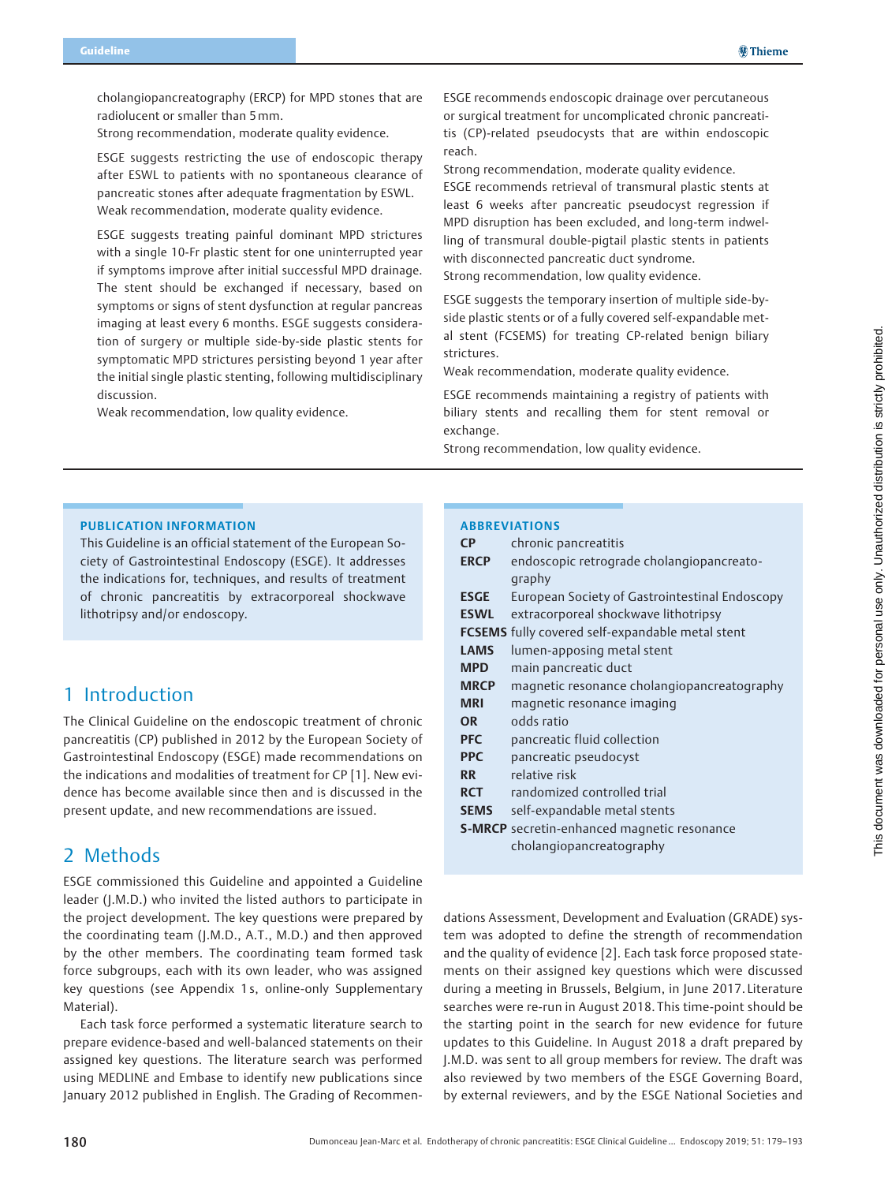cholangiopancreatography (ERCP) for MPD stones that are radiolucent or smaller than 5mm.

Strong recommendation, moderate quality evidence.

ESGE suggests restricting the use of endoscopic therapy after ESWL to patients with no spontaneous clearance of pancreatic stones after adequate fragmentation by ESWL. Weak recommendation, moderate quality evidence.

ESGE suggests treating painful dominant MPD strictures with a single 10-Fr plastic stent for one uninterrupted year if symptoms improve after initial successful MPD drainage. The stent should be exchanged if necessary, based on symptoms or signs of stent dysfunction at regular pancreas imaging at least every 6 months. ESGE suggests consideration of surgery or multiple side-by-side plastic stents for symptomatic MPD strictures persisting beyond 1 year after the initial single plastic stenting, following multidisciplinary discussion.

Weak recommendation, low quality evidence.

ESGE recommends endoscopic drainage over percutaneous or surgical treatment for uncomplicated chronic pancreatitis (CP)-related pseudocysts that are within endoscopic reach.

Strong recommendation, moderate quality evidence. ESGE recommends retrieval of transmural plastic stents at least 6 weeks after pancreatic pseudocyst regression if MPD disruption has been excluded, and long-term indwelling of transmural double-pigtail plastic stents in patients with disconnected pancreatic duct syndrome.

Strong recommendation, low quality evidence.

ESGE suggests the temporary insertion of multiple side-byside plastic stents or of a fully covered self-expandable metal stent (FCSEMS) for treating CP-related benign biliary strictures.

Weak recommendation, moderate quality evidence.

ESGE recommends maintaining a registry of patients with biliary stents and recalling them for stent removal or exchange.

Strong recommendation, low quality evidence.

### PUBLICATION INFORMATION

This Guideline is an official statement of the European Society of Gastrointestinal Endoscopy (ESGE). It addresses the indications for, techniques, and results of treatment of chronic pancreatitis by extracorporeal shockwave lithotripsy and/or endoscopy.

## 1 Introduction

The Clinical Guideline on the endoscopic treatment of chronic pancreatitis (CP) published in 2012 by the European Society of Gastrointestinal Endoscopy (ESGE) made recommendations on the indications and modalities of treatment for CP [1]. New evidence has become available since then and is discussed in the present update, and new recommendations are issued.

## 2 Methods

ESGE commissioned this Guideline and appointed a Guideline leader (J.M.D.) who invited the listed authors to participate in the project development. The key questions were prepared by the coordinating team (J.M.D., A.T., M.D.) and then approved by the other members. The coordinating team formed task force subgroups, each with its own leader, who was assigned key questions (see Appendix 1 s, online-only Supplementary Material).

Each task force performed a systematic literature search to prepare evidence-based and well-balanced statements on their assigned key questions. The literature search was performed using MEDLINE and Embase to identify new publications since January 2012 published in English. The Grading of Recommen-

### ABBREVIATIONS

| <b>CP</b>   | chronic pancreatitis                                    |
|-------------|---------------------------------------------------------|
| <b>ERCP</b> | endoscopic retrograde cholangiopancreato-               |
|             | graphy                                                  |
| <b>ESGE</b> | European Society of Gastrointestinal Endoscopy          |
| <b>ESWL</b> | extracorporeal shockwave lithotripsy                    |
|             | <b>FCSEMS</b> fully covered self-expandable metal stent |
| <b>LAMS</b> | lumen-apposing metal stent                              |
| <b>MPD</b>  | main pancreatic duct                                    |
| <b>MRCP</b> | magnetic resonance cholangiopancreatography             |
| <b>MRI</b>  | magnetic resonance imaging                              |
| <b>OR</b>   | odds ratio                                              |
| <b>PFC</b>  | pancreatic fluid collection                             |
| <b>PPC</b>  | pancreatic pseudocyst                                   |
| <b>RR</b>   | relative risk                                           |
| <b>RCT</b>  | randomized controlled trial                             |
| <b>SEMS</b> | self-expandable metal stents                            |
|             | <b>S-MRCP</b> secretin-enhanced magnetic resonance      |
|             | cholangiopancreatography                                |
|             |                                                         |

dations Assessment, Development and Evaluation (GRADE) system was adopted to define the strength of recommendation and the quality of evidence [2]. Each task force proposed statements on their assigned key questions which were discussed during a meeting in Brussels, Belgium, in June 2017. Literature searches were re-run in August 2018. This time-point should be the starting point in the search for new evidence for future updates to this Guideline. In August 2018 a draft prepared by J.M.D. was sent to all group members for review. The draft was also reviewed by two members of the ESGE Governing Board, by external reviewers, and by the ESGE National Societies and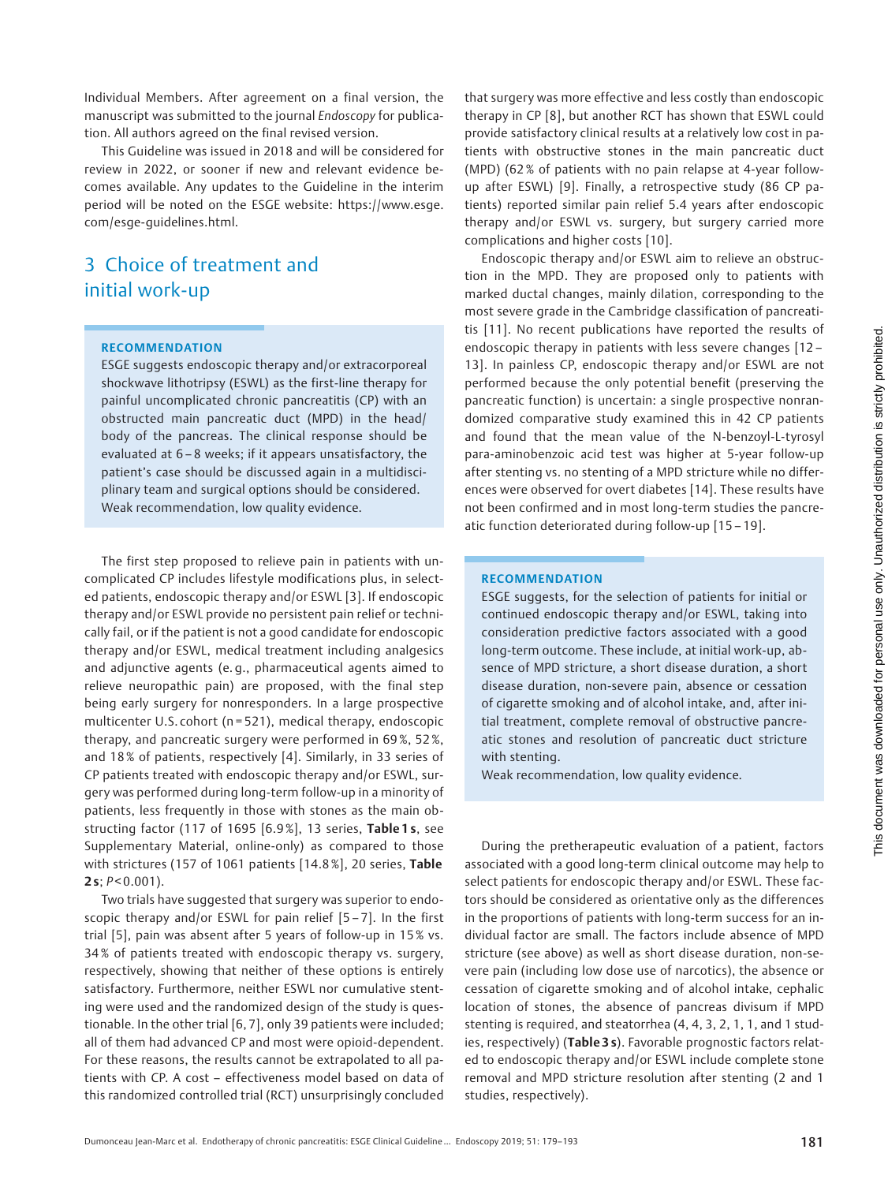Individual Members. After agreement on a final version, the manuscript was submitted to the journal Endoscopy for publication. All authors agreed on the final revised version.

This Guideline was issued in 2018 and will be considered for review in 2022, or sooner if new and relevant evidence becomes available. Any updates to the Guideline in the interim period will be noted on the ESGE website: https://www.esge. com/esge-guidelines.html.

# 3 Choice of treatment and initial work-up

#### RECOMMENDATION

ESGE suggests endoscopic therapy and/or extracorporeal shockwave lithotripsy (ESWL) as the first-line therapy for painful uncomplicated chronic pancreatitis (CP) with an obstructed main pancreatic duct (MPD) in the head/ body of the pancreas. The clinical response should be evaluated at 6 – 8 weeks; if it appears unsatisfactory, the patient's case should be discussed again in a multidisciplinary team and surgical options should be considered. Weak recommendation, low quality evidence.

The first step proposed to relieve pain in patients with uncomplicated CP includes lifestyle modifications plus, in selected patients, endoscopic therapy and/or ESWL [3]. If endoscopic therapy and/or ESWL provide no persistent pain relief or technically fail, or if the patient is not a good candidate for endoscopic therapy and/or ESWL, medical treatment including analgesics and adjunctive agents (e. g., pharmaceutical agents aimed to relieve neuropathic pain) are proposed, with the final step being early surgery for nonresponders. In a large prospective multicenter U.S. cohort (n = 521), medical therapy, endoscopic therapy, and pancreatic surgery were performed in 69 %, 52 %, and 18 % of patients, respectively [4]. Similarly, in 33 series of CP patients treated with endoscopic therapy and/or ESWL, surgery was performed during long-term follow-up in a minority of patients, less frequently in those with stones as the main obstructing factor (117 of 1695 [6.9%], 13 series, Table 1s, see Supplementary Material, online-only) as compared to those with strictures (157 of 1061 patients [14.8%], 20 series, Table  $2 s$ ;  $P < 0.001$ ).

Two trials have suggested that surgery was superior to endoscopic therapy and/or ESWL for pain relief [5 – 7]. In the first trial [5], pain was absent after 5 years of follow-up in 15 % vs. 34 % of patients treated with endoscopic therapy vs. surgery, respectively, showing that neither of these options is entirely satisfactory. Furthermore, neither ESWL nor cumulative stenting were used and the randomized design of the study is questionable. In the other trial [6, 7], only 39 patients were included; all of them had advanced CP and most were opioid-dependent. For these reasons, the results cannot be extrapolated to all patients with CP. A cost – effectiveness model based on data of this randomized controlled trial (RCT) unsurprisingly concluded

that surgery was more effective and less costly than endoscopic therapy in CP [8], but another RCT has shown that ESWL could provide satisfactory clinical results at a relatively low cost in patients with obstructive stones in the main pancreatic duct (MPD) (62% of patients with no pain relapse at 4-year followup after ESWL) [9]. Finally, a retrospective study (86 CP patients) reported similar pain relief 5.4 years after endoscopic therapy and/or ESWL vs. surgery, but surgery carried more complications and higher costs [10].

Endoscopic therapy and/or ESWL aim to relieve an obstruction in the MPD. They are proposed only to patients with marked ductal changes, mainly dilation, corresponding to the most severe grade in the Cambridge classification of pancreatitis [11]. No recent publications have reported the results of endoscopic therapy in patients with less severe changes [12 – 13]. In painless CP, endoscopic therapy and/or ESWL are not performed because the only potential benefit (preserving the pancreatic function) is uncertain: a single prospective nonrandomized comparative study examined this in 42 CP patients and found that the mean value of the N-benzoyl-L-tyrosyl para-aminobenzoic acid test was higher at 5-year follow-up after stenting vs. no stenting of a MPD stricture while no differences were observed for overt diabetes [14]. These results have not been confirmed and in most long-term studies the pancreatic function deteriorated during follow-up [15 – 19].

#### RECOMMENDATION

ESGE suggests, for the selection of patients for initial or continued endoscopic therapy and/or ESWL, taking into consideration predictive factors associated with a good long-term outcome. These include, at initial work-up, absence of MPD stricture, a short disease duration, a short disease duration, non-severe pain, absence or cessation of cigarette smoking and of alcohol intake, and, after initial treatment, complete removal of obstructive pancreatic stones and resolution of pancreatic duct stricture with stenting.

Weak recommendation, low quality evidence.

During the pretherapeutic evaluation of a patient, factors associated with a good long-term clinical outcome may help to select patients for endoscopic therapy and/or ESWL. These factors should be considered as orientative only as the differences in the proportions of patients with long-term success for an individual factor are small. The factors include absence of MPD stricture (see above) as well as short disease duration, non-severe pain (including low dose use of narcotics), the absence or cessation of cigarette smoking and of alcohol intake, cephalic location of stones, the absence of pancreas divisum if MPD stenting is required, and steatorrhea (4, 4, 3, 2, 1, 1, and 1 studies, respectively) (Table 3s). Favorable prognostic factors related to endoscopic therapy and/or ESWL include complete stone removal and MPD stricture resolution after stenting (2 and 1 studies, respectively).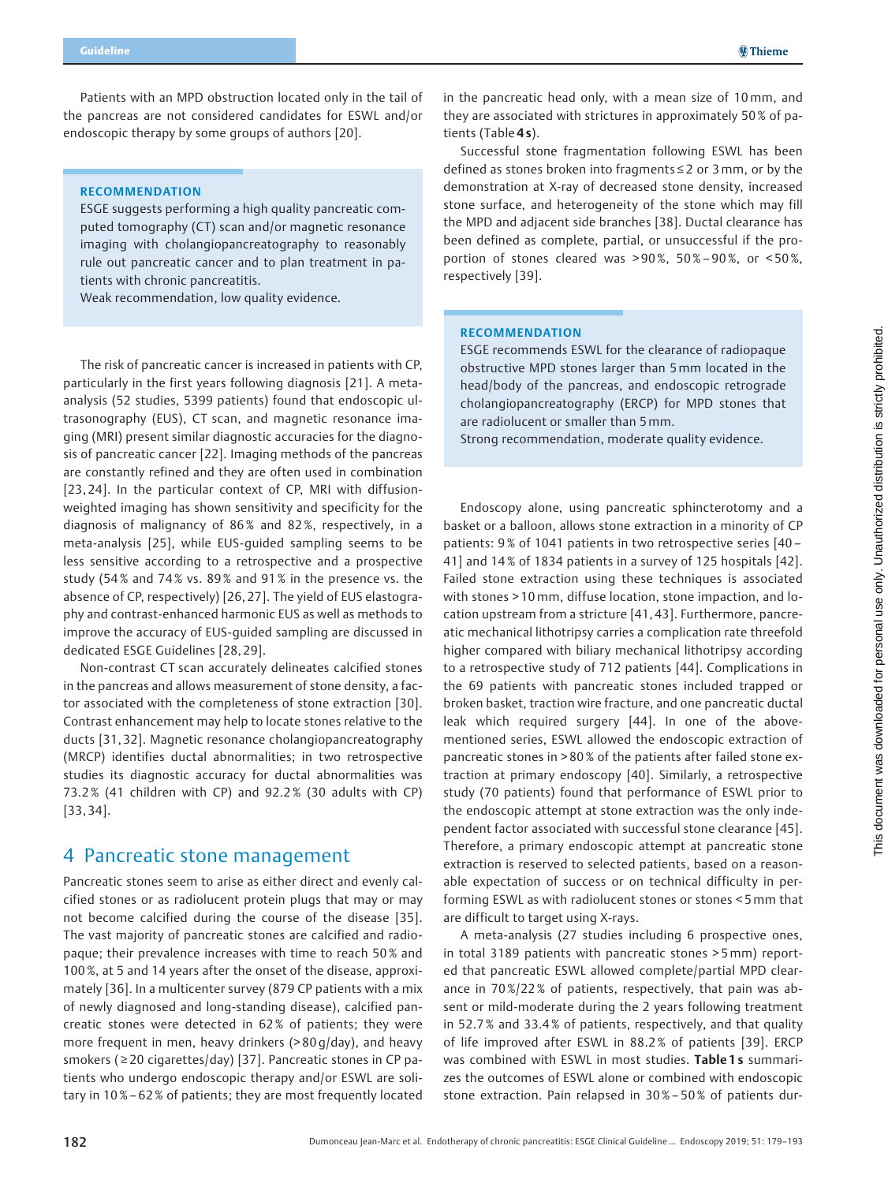Patients with an MPD obstruction located only in the tail of the pancreas are not considered candidates for ESWL and/or endoscopic therapy by some groups of authors [20].

#### RECOMMENDATION

ESGE suggests performing a high quality pancreatic computed tomography (CT) scan and/or magnetic resonance imaging with cholangiopancreatography to reasonably rule out pancreatic cancer and to plan treatment in patients with chronic pancreatitis.

Weak recommendation, low quality evidence.

The risk of pancreatic cancer is increased in patients with CP, particularly in the first years following diagnosis [21]. A metaanalysis (52 studies, 5399 patients) found that endoscopic ultrasonography (EUS), CT scan, and magnetic resonance imaging (MRI) present similar diagnostic accuracies for the diagnosis of pancreatic cancer [22]. Imaging methods of the pancreas are constantly refined and they are often used in combination [23, 24]. In the particular context of CP, MRI with diffusionweighted imaging has shown sensitivity and specificity for the diagnosis of malignancy of 86% and 82%, respectively, in a meta-analysis [25], while EUS-guided sampling seems to be less sensitive according to a retrospective and a prospective study (54 % and 74 % vs. 89 % and 91 % in the presence vs. the absence of CP, respectively) [26, 27]. The yield of EUS elastography and contrast-enhanced harmonic EUS as well as methods to improve the accuracy of EUS-guided sampling are discussed in dedicated ESGE Guidelines [28, 29].

Non-contrast CT scan accurately delineates calcified stones in the pancreas and allows measurement of stone density, a factor associated with the completeness of stone extraction [30]. Contrast enhancement may help to locate stones relative to the ducts [31, 32]. Magnetic resonance cholangiopancreatography (MRCP) identifies ductal abnormalities; in two retrospective studies its diagnostic accuracy for ductal abnormalities was 73.2% (41 children with CP) and 92.2 % (30 adults with CP) [33, 34].

## 4 Pancreatic stone management

Pancreatic stones seem to arise as either direct and evenly calcified stones or as radiolucent protein plugs that may or may not become calcified during the course of the disease [35]. The vast majority of pancreatic stones are calcified and radiopaque; their prevalence increases with time to reach 50 % and 100 %, at 5 and 14 years after the onset of the disease, approximately [36]. In a multicenter survey (879 CP patients with a mix of newly diagnosed and long-standing disease), calcified pancreatic stones were detected in 62 % of patients; they were more frequent in men, heavy drinkers (> 80 g/day), and heavy smokers (≥20 cigarettes/day) [37]. Pancreatic stones in CP patients who undergo endoscopic therapy and/or ESWL are solitary in 10%– 62 % of patients; they are most frequently located

in the pancreatic head only, with a mean size of 10 mm, and they are associated with strictures in approximately 50 % of patients (Table 4s).

Successful stone fragmentation following ESWL has been defined as stones broken into fragments ≤ 2 or 3mm, or by the demonstration at X-ray of decreased stone density, increased stone surface, and heterogeneity of the stone which may fill the MPD and adjacent side branches [38]. Ductal clearance has been defined as complete, partial, or unsuccessful if the proportion of stones cleared was > 90 %, 50 %– 90%, or < 50%, respectively [39].

### RECOMMENDATION

ESGE recommends ESWL for the clearance of radiopaque obstructive MPD stones larger than 5mm located in the head/body of the pancreas, and endoscopic retrograde cholangiopancreatography (ERCP) for MPD stones that are radiolucent or smaller than 5mm.

Strong recommendation, moderate quality evidence.

Endoscopy alone, using pancreatic sphincterotomy and a basket or a balloon, allows stone extraction in a minority of CP patients: 9 % of 1041 patients in two retrospective series [40 – 41] and 14 % of 1834 patients in a survey of 125 hospitals [42]. Failed stone extraction using these techniques is associated with stones > 10mm, diffuse location, stone impaction, and location upstream from a stricture [41, 43]. Furthermore, pancreatic mechanical lithotripsy carries a complication rate threefold higher compared with biliary mechanical lithotripsy according to a retrospective study of 712 patients [44]. Complications in the 69 patients with pancreatic stones included trapped or broken basket, traction wire fracture, and one pancreatic ductal leak which required surgery [44]. In one of the abovementioned series, ESWL allowed the endoscopic extraction of pancreatic stones in > 80 % of the patients after failed stone extraction at primary endoscopy [40]. Similarly, a retrospective study (70 patients) found that performance of ESWL prior to the endoscopic attempt at stone extraction was the only independent factor associated with successful stone clearance [45]. Therefore, a primary endoscopic attempt at pancreatic stone extraction is reserved to selected patients, based on a reasonable expectation of success or on technical difficulty in performing ESWL as with radiolucent stones or stones < 5mm that are difficult to target using X-rays.

A meta-analysis (27 studies including 6 prospective ones, in total 3189 patients with pancreatic stones > 5mm) reported that pancreatic ESWL allowed complete/partial MPD clearance in 70 %/22 % of patients, respectively, that pain was absent or mild-moderate during the 2 years following treatment in 52.7% and 33.4% of patients, respectively, and that quality of life improved after ESWL in 88.2 % of patients [39]. ERCP was combined with ESWL in most studies. Table 1s summarizes the outcomes of ESWL alone or combined with endoscopic stone extraction. Pain relapsed in 30 %– 50 % of patients dur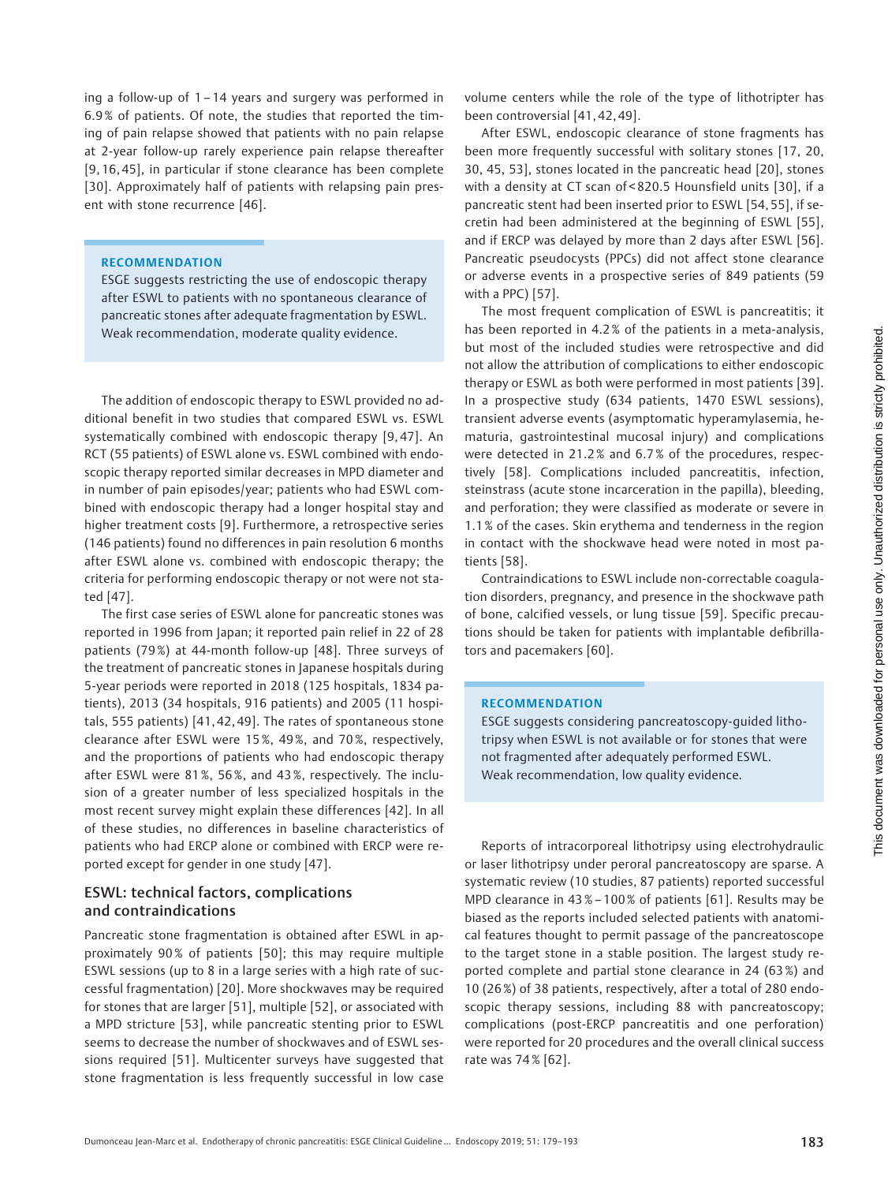ing a follow-up of 1 – 14 years and surgery was performed in 6.9 % of patients. Of note, the studies that reported the timing of pain relapse showed that patients with no pain relapse at 2-year follow-up rarely experience pain relapse thereafter [9, 16, 45], in particular if stone clearance has been complete [30]. Approximately half of patients with relapsing pain present with stone recurrence [46].

#### RECOMMENDATION

ESGE suggests restricting the use of endoscopic therapy after ESWL to patients with no spontaneous clearance of pancreatic stones after adequate fragmentation by ESWL. Weak recommendation, moderate quality evidence.

The addition of endoscopic therapy to ESWL provided no additional benefit in two studies that compared ESWL vs. ESWL systematically combined with endoscopic therapy [9, 47]. An RCT (55 patients) of ESWL alone vs. ESWL combined with endoscopic therapy reported similar decreases in MPD diameter and in number of pain episodes/year; patients who had ESWL combined with endoscopic therapy had a longer hospital stay and higher treatment costs [9]. Furthermore, a retrospective series (146 patients) found no differences in pain resolution 6 months after ESWL alone vs. combined with endoscopic therapy; the criteria for performing endoscopic therapy or not were not stated [47].

The first case series of ESWL alone for pancreatic stones was reported in 1996 from Japan; it reported pain relief in 22 of 28 patients (79 %) at 44-month follow-up [48]. Three surveys of the treatment of pancreatic stones in Japanese hospitals during 5-year periods were reported in 2018 (125 hospitals, 1834 patients), 2013 (34 hospitals, 916 patients) and 2005 (11 hospitals, 555 patients) [41, 42, 49]. The rates of spontaneous stone clearance after ESWL were 15 %, 49 %, and 70 %, respectively, and the proportions of patients who had endoscopic therapy after ESWL were 81 %, 56 %, and 43 %, respectively. The inclusion of a greater number of less specialized hospitals in the most recent survey might explain these differences [42]. In all of these studies, no differences in baseline characteristics of patients who had ERCP alone or combined with ERCP were reported except for gender in one study [47].

### ESWL: technical factors, complications and contraindications

Pancreatic stone fragmentation is obtained after ESWL in approximately 90% of patients [50]; this may require multiple ESWL sessions (up to 8 in a large series with a high rate of successful fragmentation) [20]. More shockwaves may be required for stones that are larger [51], multiple [52], or associated with a MPD stricture [53], while pancreatic stenting prior to ESWL seems to decrease the number of shockwaves and of ESWL sessions required [51]. Multicenter surveys have suggested that stone fragmentation is less frequently successful in low case

volume centers while the role of the type of lithotripter has been controversial [41, 42, 49].

After ESWL, endoscopic clearance of stone fragments has been more frequently successful with solitary stones [17, 20, 30, 45, 53], stones located in the pancreatic head [20], stones with a density at CT scan of < 820.5 Hounsfield units [30], if a pancreatic stent had been inserted prior to ESWL [54, 55], if secretin had been administered at the beginning of ESWL [55], and if ERCP was delayed by more than 2 days after ESWL [56]. Pancreatic pseudocysts (PPCs) did not affect stone clearance or adverse events in a prospective series of 849 patients (59 with a PPC) [57].

The most frequent complication of ESWL is pancreatitis; it has been reported in 4.2 % of the patients in a meta-analysis, but most of the included studies were retrospective and did not allow the attribution of complications to either endoscopic therapy or ESWL as both were performed in most patients [39]. In a prospective study (634 patients, 1470 ESWL sessions), transient adverse events (asymptomatic hyperamylasemia, hematuria, gastrointestinal mucosal injury) and complications were detected in 21.2 % and 6.7 % of the procedures, respectively [58]. Complications included pancreatitis, infection, steinstrass (acute stone incarceration in the papilla), bleeding, and perforation; they were classified as moderate or severe in 1.1 % of the cases. Skin erythema and tenderness in the region in contact with the shockwave head were noted in most patients [58].

Contraindications to ESWL include non-correctable coagulation disorders, pregnancy, and presence in the shockwave path of bone, calcified vessels, or lung tissue [59]. Specific precautions should be taken for patients with implantable defibrillators and pacemakers [60].

#### RECOMMENDATION

ESGE suggests considering pancreatoscopy-guided lithotripsy when ESWL is not available or for stones that were not fragmented after adequately performed ESWL. Weak recommendation, low quality evidence.

Reports of intracorporeal lithotripsy using electrohydraulic or laser lithotripsy under peroral pancreatoscopy are sparse. A systematic review (10 studies, 87 patients) reported successful MPD clearance in 43 %– 100 % of patients [61]. Results may be biased as the reports included selected patients with anatomical features thought to permit passage of the pancreatoscope to the target stone in a stable position. The largest study reported complete and partial stone clearance in 24 (63 %) and 10 (26 %) of 38 patients, respectively, after a total of 280 endoscopic therapy sessions, including 88 with pancreatoscopy; complications (post-ERCP pancreatitis and one perforation) were reported for 20 procedures and the overall clinical success rate was 74 % [62].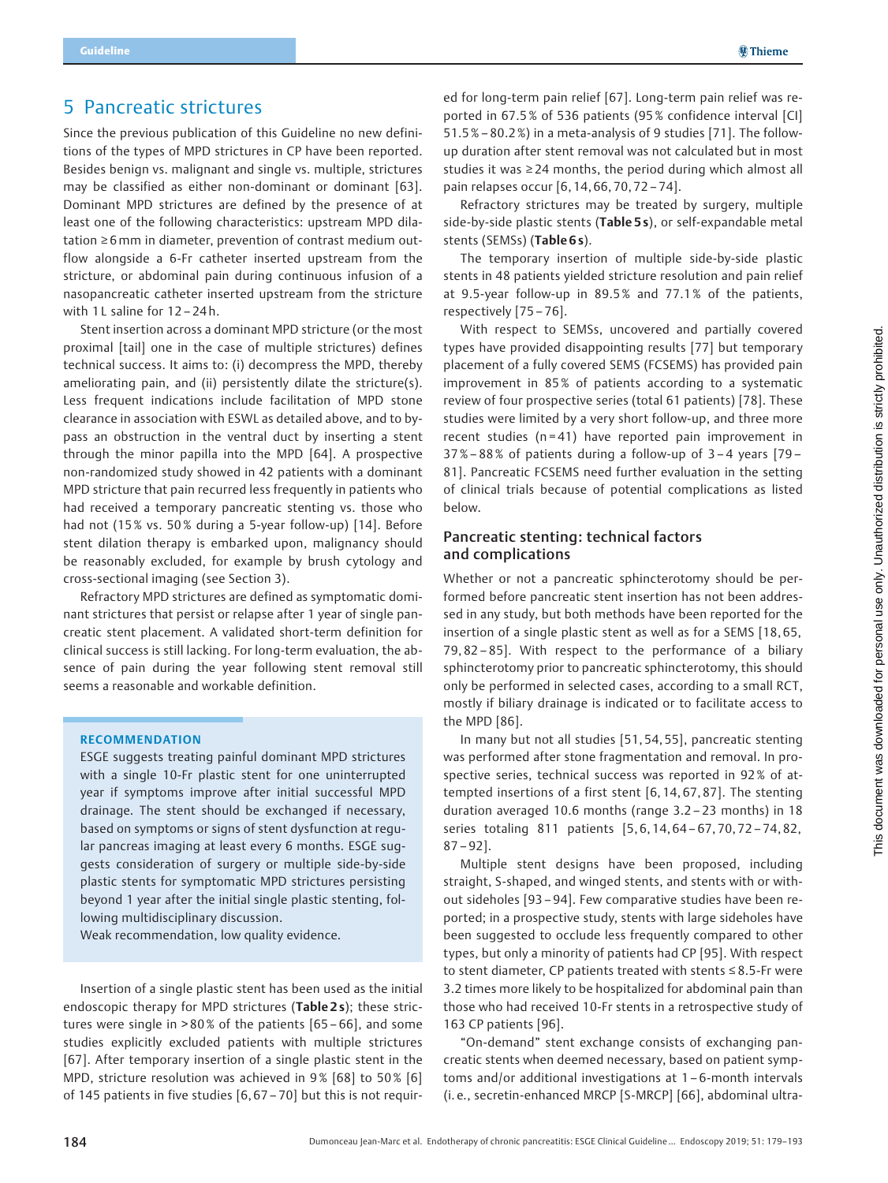## 5 Pancreatic strictures

Since the previous publication of this Guideline no new definitions of the types of MPD strictures in CP have been reported. Besides benign vs. malignant and single vs. multiple, strictures may be classified as either non-dominant or dominant [63]. Dominant MPD strictures are defined by the presence of at least one of the following characteristics: upstream MPD dilatation ≥ 6 mm in diameter, prevention of contrast medium outflow alongside a 6-Fr catheter inserted upstream from the stricture, or abdominal pain during continuous infusion of a nasopancreatic catheter inserted upstream from the stricture with 1 L saline for 12-24h.

Stent insertion across a dominant MPD stricture (or the most proximal [tail] one in the case of multiple strictures) defines technical success. It aims to: (i) decompress the MPD, thereby ameliorating pain, and (ii) persistently dilate the stricture(s). Less frequent indications include facilitation of MPD stone clearance in association with ESWL as detailed above, and to bypass an obstruction in the ventral duct by inserting a stent through the minor papilla into the MPD [64]. A prospective non-randomized study showed in 42 patients with a dominant MPD stricture that pain recurred less frequently in patients who had received a temporary pancreatic stenting vs. those who had not (15% vs. 50% during a 5-year follow-up) [14]. Before stent dilation therapy is embarked upon, malignancy should be reasonably excluded, for example by brush cytology and cross-sectional imaging (see Section 3).

Refractory MPD strictures are defined as symptomatic dominant strictures that persist or relapse after 1 year of single pancreatic stent placement. A validated short-term definition for clinical success is still lacking. For long-term evaluation, the absence of pain during the year following stent removal still seems a reasonable and workable definition.

### RECOMMENDATION

ESGE suggests treating painful dominant MPD strictures with a single 10-Fr plastic stent for one uninterrupted year if symptoms improve after initial successful MPD drainage. The stent should be exchanged if necessary, based on symptoms or signs of stent dysfunction at regular pancreas imaging at least every 6 months. ESGE suggests consideration of surgery or multiple side-by-side plastic stents for symptomatic MPD strictures persisting beyond 1 year after the initial single plastic stenting, following multidisciplinary discussion.

Weak recommendation, low quality evidence.

Insertion of a single plastic stent has been used as the initial endoscopic therapy for MPD strictures (Table 2s); these strictures were single in > 80% of the patients [65 – 66], and some studies explicitly excluded patients with multiple strictures [67]. After temporary insertion of a single plastic stent in the MPD, stricture resolution was achieved in 9% [68] to 50% [6] of 145 patients in five studies [6, 67 – 70] but this is not requir-

ed for long-term pain relief [67]. Long-term pain relief was reported in 67.5% of 536 patients (95% confidence interval [CI] 51.5%– 80.2 %) in a meta-analysis of 9 studies [71]. The followup duration after stent removal was not calculated but in most studies it was ≥ 24 months, the period during which almost all pain relapses occur [6, 14, 66, 70, 72 – 74].

Refractory strictures may be treated by surgery, multiple side-by-side plastic stents (Table 5s), or self-expandable metal stents (SEMSs) (Table 6s).

The temporary insertion of multiple side-by-side plastic stents in 48 patients yielded stricture resolution and pain relief at 9.5-year follow-up in 89.5% and 77.1% of the patients, respectively [75 – 76].

With respect to SEMSs, uncovered and partially covered types have provided disappointing results [77] but temporary placement of a fully covered SEMS (FCSEMS) has provided pain improvement in 85% of patients according to a systematic review of four prospective series (total 61 patients) [78]. These studies were limited by a very short follow-up, and three more recent studies ( $n = 41$ ) have reported pain improvement in 37%– 88% of patients during a follow-up of 3 – 4 years [79 – 81]. Pancreatic FCSEMS need further evaluation in the setting of clinical trials because of potential complications as listed below.

### Pancreatic stenting: technical factors and complications

Whether or not a pancreatic sphincterotomy should be performed before pancreatic stent insertion has not been addressed in any study, but both methods have been reported for the insertion of a single plastic stent as well as for a SEMS [18, 65, 79, 82 – 85]. With respect to the performance of a biliary sphincterotomy prior to pancreatic sphincterotomy, this should only be performed in selected cases, according to a small RCT, mostly if biliary drainage is indicated or to facilitate access to the MPD [86].

In many but not all studies [51, 54, 55], pancreatic stenting was performed after stone fragmentation and removal. In prospective series, technical success was reported in 92 % of attempted insertions of a first stent [6, 14, 67, 87]. The stenting duration averaged 10.6 months (range 3.2 – 23 months) in 18 series totaling 811 patients [5, 6, 14, 64 – 67, 70, 72 – 74, 82,  $87 - 92$ ].

Multiple stent designs have been proposed, including straight, S-shaped, and winged stents, and stents with or without sideholes [93 – 94]. Few comparative studies have been reported; in a prospective study, stents with large sideholes have been suggested to occlude less frequently compared to other types, but only a minority of patients had CP [95]. With respect to stent diameter, CP patients treated with stents ≤ 8.5-Fr were 3.2 times more likely to be hospitalized for abdominal pain than those who had received 10-Fr stents in a retrospective study of 163 CP patients [96].

"On-demand" stent exchange consists of exchanging pancreatic stents when deemed necessary, based on patient symptoms and/or additional investigations at 1 – 6-month intervals (i. e., secretin-enhanced MRCP [S-MRCP] [66], abdominal ultra-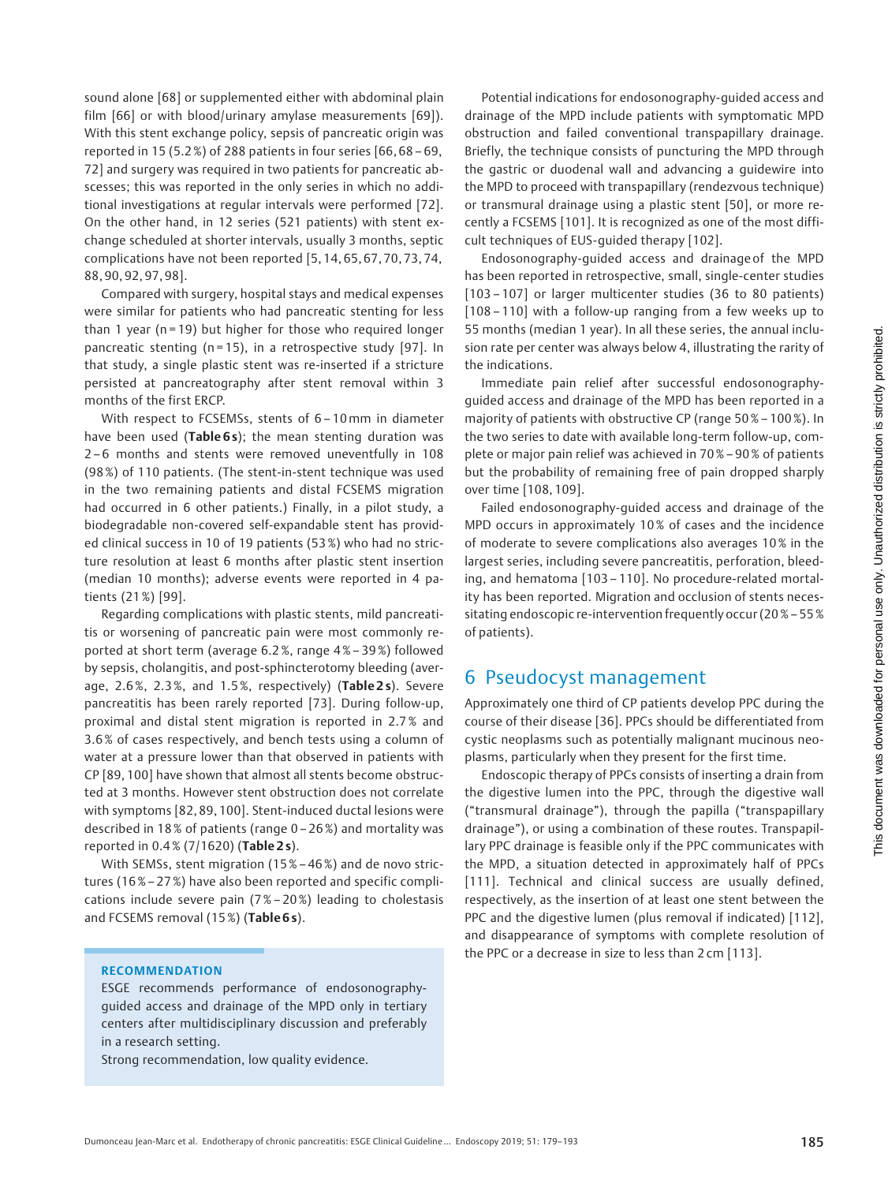sound alone [68] or supplemented either with abdominal plain film [66] or with blood/urinary amylase measurements [69]). With this stent exchange policy, sepsis of pancreatic origin was reported in 15 (5.2 %) of 288 patients in four series [66, 68 – 69, 72] and surgery was required in two patients for pancreatic abscesses; this was reported in the only series in which no additional investigations at regular intervals were performed [72]. On the other hand, in 12 series (521 patients) with stent exchange scheduled at shorter intervals, usually 3 months, septic complications have not been reported [5, 14, 65, 67, 70, 73, 74, 88, 90, 92, 97, 98].

Compared with surgery, hospital stays and medical expenses were similar for patients who had pancreatic stenting for less than 1 year ( $n = 19$ ) but higher for those who required longer pancreatic stenting (n = 15), in a retrospective study [97]. In that study, a single plastic stent was re-inserted if a stricture persisted at pancreatography after stent removal within 3 months of the first ERCP.

With respect to FCSEMSs, stents of 6 – 10mm in diameter have been used (Table 6s); the mean stenting duration was 2 – 6 months and stents were removed uneventfully in 108 (98 %) of 110 patients. (The stent-in-stent technique was used in the two remaining patients and distal FCSEMS migration had occurred in 6 other patients.) Finally, in a pilot study, a biodegradable non-covered self-expandable stent has provided clinical success in 10 of 19 patients (53%) who had no stricture resolution at least 6 months after plastic stent insertion (median 10 months); adverse events were reported in 4 patients (21 %) [99].

Regarding complications with plastic stents, mild pancreatitis or worsening of pancreatic pain were most commonly reported at short term (average 6.2 %, range 4 %– 39 %) followed by sepsis, cholangitis, and post-sphincterotomy bleeding (average, 2.6 %, 2.3 %, and 1.5 %, respectively) (Table 2 s). Severe pancreatitis has been rarely reported [73]. During follow-up, proximal and distal stent migration is reported in 2.7 % and 3.6 % of cases respectively, and bench tests using a column of water at a pressure lower than that observed in patients with CP [89, 100] have shown that almost all stents become obstructed at 3 months. However stent obstruction does not correlate with symptoms [82, 89, 100]. Stent-induced ductal lesions were described in 18 % of patients (range 0 – 26 %) and mortality was reported in 0.4 % (7/1620) (Table 2 s).

With SEMSs, stent migration (15% – 46 %) and de novo strictures (16%– 27 %) have also been reported and specific complications include severe pain (7 % – 20 %) leading to cholestasis and FCSEMS removal (15%) (Table 6s).

### RECOMMENDATION

ESGE recommends performance of endosonographyguided access and drainage of the MPD only in tertiary centers after multidisciplinary discussion and preferably in a research setting.

Strong recommendation, low quality evidence.

Potential indications for endosonography-guided access and drainage of the MPD include patients with symptomatic MPD obstruction and failed conventional transpapillary drainage. Briefly, the technique consists of puncturing the MPD through the gastric or duodenal wall and advancing a guidewire into the MPD to proceed with transpapillary (rendezvous technique) or transmural drainage using a plastic stent [50], or more recently a FCSEMS [101]. It is recognized as one of the most difficult techniques of EUS-guided therapy [102].

Endosonography-guided access and drainage of the MPD has been reported in retrospective, small, single-center studies [103 – 107] or larger multicenter studies (36 to 80 patients) [108 – 110] with a follow-up ranging from a few weeks up to 55 months (median 1 year). In all these series, the annual inclusion rate per center was always below 4, illustrating the rarity of the indications.

Immediate pain relief after successful endosonographyguided access and drainage of the MPD has been reported in a majority of patients with obstructive CP (range 50 %– 100%). In the two series to date with available long-term follow-up, complete or major pain relief was achieved in 70 %– 90% of patients but the probability of remaining free of pain dropped sharply over time [108, 109].

Failed endosonography-guided access and drainage of the MPD occurs in approximately 10 % of cases and the incidence of moderate to severe complications also averages 10 % in the largest series, including severe pancreatitis, perforation, bleeding, and hematoma [103 – 110]. No procedure-related mortality has been reported. Migration and occlusion of stents necessitating endoscopic re-intervention frequently occur (20 %– 55% of patients).

## 6 Pseudocyst management

Approximately one third of CP patients develop PPC during the course of their disease [36]. PPCs should be differentiated from cystic neoplasms such as potentially malignant mucinous neoplasms, particularly when they present for the first time.

Endoscopic therapy of PPCs consists of inserting a drain from the digestive lumen into the PPC, through the digestive wall ("transmural drainage"), through the papilla ("transpapillary drainage"), or using a combination of these routes. Transpapillary PPC drainage is feasible only if the PPC communicates with the MPD, a situation detected in approximately half of PPCs [111]. Technical and clinical success are usually defined, respectively, as the insertion of at least one stent between the PPC and the digestive lumen (plus removal if indicated) [112], and disappearance of symptoms with complete resolution of the PPC or a decrease in size to less than 2 cm [113].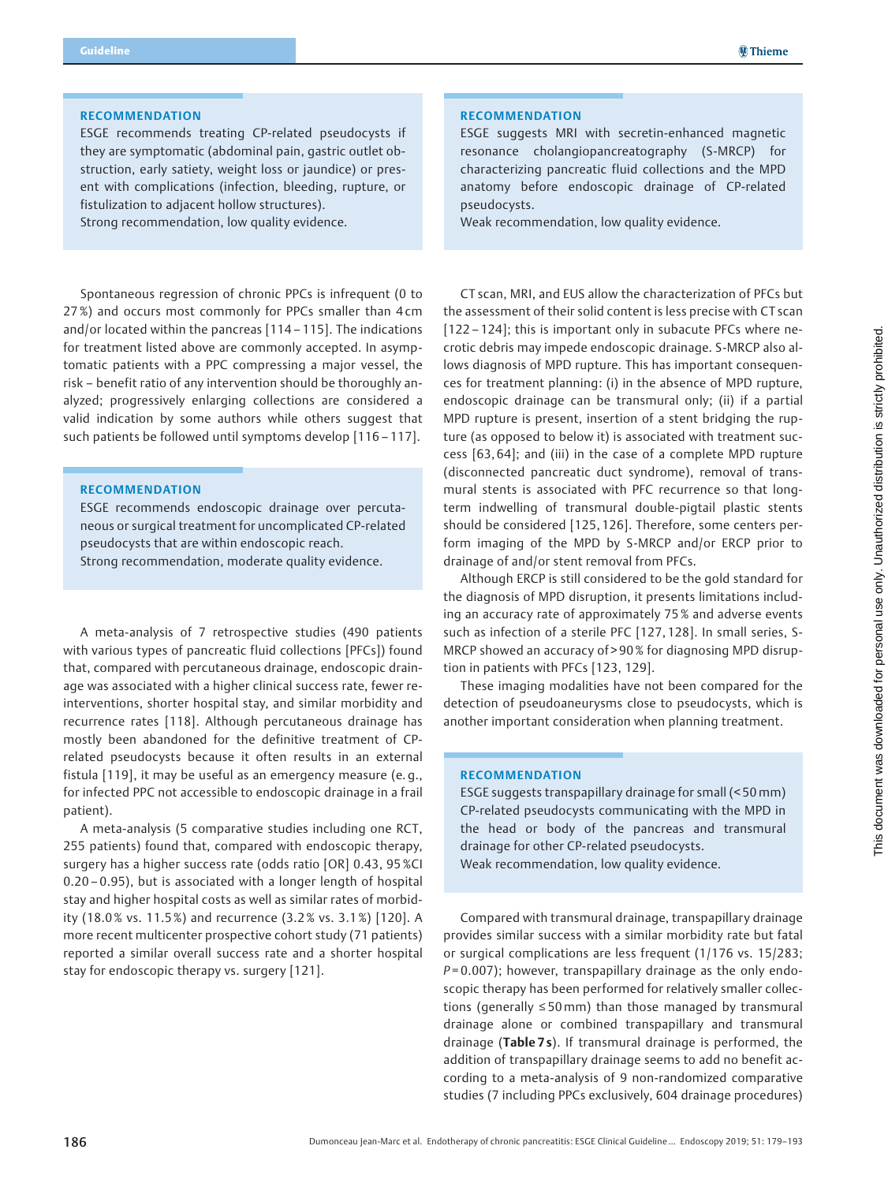### RECOMMENDATION

ESGE recommends treating CP-related pseudocysts if they are symptomatic (abdominal pain, gastric outlet obstruction, early satiety, weight loss or jaundice) or present with complications (infection, bleeding, rupture, or fistulization to adjacent hollow structures).

Strong recommendation, low quality evidence.

Spontaneous regression of chronic PPCs is infrequent (0 to 27 %) and occurs most commonly for PPCs smaller than 4 cm and/or located within the pancreas [114 – 115]. The indications for treatment listed above are commonly accepted. In asymptomatic patients with a PPC compressing a major vessel, the risk – benefit ratio of any intervention should be thoroughly analyzed; progressively enlarging collections are considered a valid indication by some authors while others suggest that such patients be followed until symptoms develop [116 – 117].

#### RECOMMENDATION

ESGE recommends endoscopic drainage over percutaneous or surgical treatment for uncomplicated CP-related pseudocysts that are within endoscopic reach. Strong recommendation, moderate quality evidence.

A meta-analysis of 7 retrospective studies (490 patients with various types of pancreatic fluid collections [PFCs]) found that, compared with percutaneous drainage, endoscopic drainage was associated with a higher clinical success rate, fewer reinterventions, shorter hospital stay, and similar morbidity and recurrence rates [118]. Although percutaneous drainage has mostly been abandoned for the definitive treatment of CPrelated pseudocysts because it often results in an external fistula [119], it may be useful as an emergency measure (e. g., for infected PPC not accessible to endoscopic drainage in a frail patient).

A meta-analysis (5 comparative studies including one RCT, 255 patients) found that, compared with endoscopic therapy, surgery has a higher success rate (odds ratio [OR] 0.43, 95 %CI 0.20 – 0.95), but is associated with a longer length of hospital stay and higher hospital costs as well as similar rates of morbidity (18.0 % vs. 11.5 %) and recurrence (3.2 % vs. 3.1 %) [120]. A more recent multicenter prospective cohort study (71 patients) reported a similar overall success rate and a shorter hospital stay for endoscopic therapy vs. surgery [121].

### RECOMMENDATION

ESGE suggests MRI with secretin-enhanced magnetic resonance cholangiopancreatography (S-MRCP) for characterizing pancreatic fluid collections and the MPD anatomy before endoscopic drainage of CP-related pseudocysts.

Weak recommendation, low quality evidence.

CT scan, MRI, and EUS allow the characterization of PFCs but the assessment of their solid content is less precise with CT scan [122 – 124]; this is important only in subacute PFCs where necrotic debris may impede endoscopic drainage. S-MRCP also allows diagnosis of MPD rupture. This has important consequences for treatment planning: (i) in the absence of MPD rupture, endoscopic drainage can be transmural only; (ii) if a partial MPD rupture is present, insertion of a stent bridging the rupture (as opposed to below it) is associated with treatment success [63, 64]; and (iii) in the case of a complete MPD rupture (disconnected pancreatic duct syndrome), removal of transmural stents is associated with PFC recurrence so that longterm indwelling of transmural double-pigtail plastic stents should be considered [125, 126]. Therefore, some centers perform imaging of the MPD by S-MRCP and/or ERCP prior to drainage of and/or stent removal from PFCs.

Although ERCP is still considered to be the gold standard for the diagnosis of MPD disruption, it presents limitations including an accuracy rate of approximately 75 % and adverse events such as infection of a sterile PFC [127, 128]. In small series, S-MRCP showed an accuracy of > 90 % for diagnosing MPD disruption in patients with PFCs [123, 129].

These imaging modalities have not been compared for the detection of pseudoaneurysms close to pseudocysts, which is another important consideration when planning treatment.

#### RECOMMENDATION

ESGE suggests transpapillary drainage for small (< 50mm) CP-related pseudocysts communicating with the MPD in the head or body of the pancreas and transmural drainage for other CP-related pseudocysts. Weak recommendation, low quality evidence.

Compared with transmural drainage, transpapillary drainage provides similar success with a similar morbidity rate but fatal or surgical complications are less frequent (1/176 vs. 15/283;  $P = 0.007$ ); however, transpapillary drainage as the only endoscopic therapy has been performed for relatively smaller collections (generally ≤ 50mm) than those managed by transmural drainage alone or combined transpapillary and transmural drainage (Table 7s). If transmural drainage is performed, the addition of transpapillary drainage seems to add no benefit according to a meta-analysis of 9 non-randomized comparative studies (7 including PPCs exclusively, 604 drainage procedures)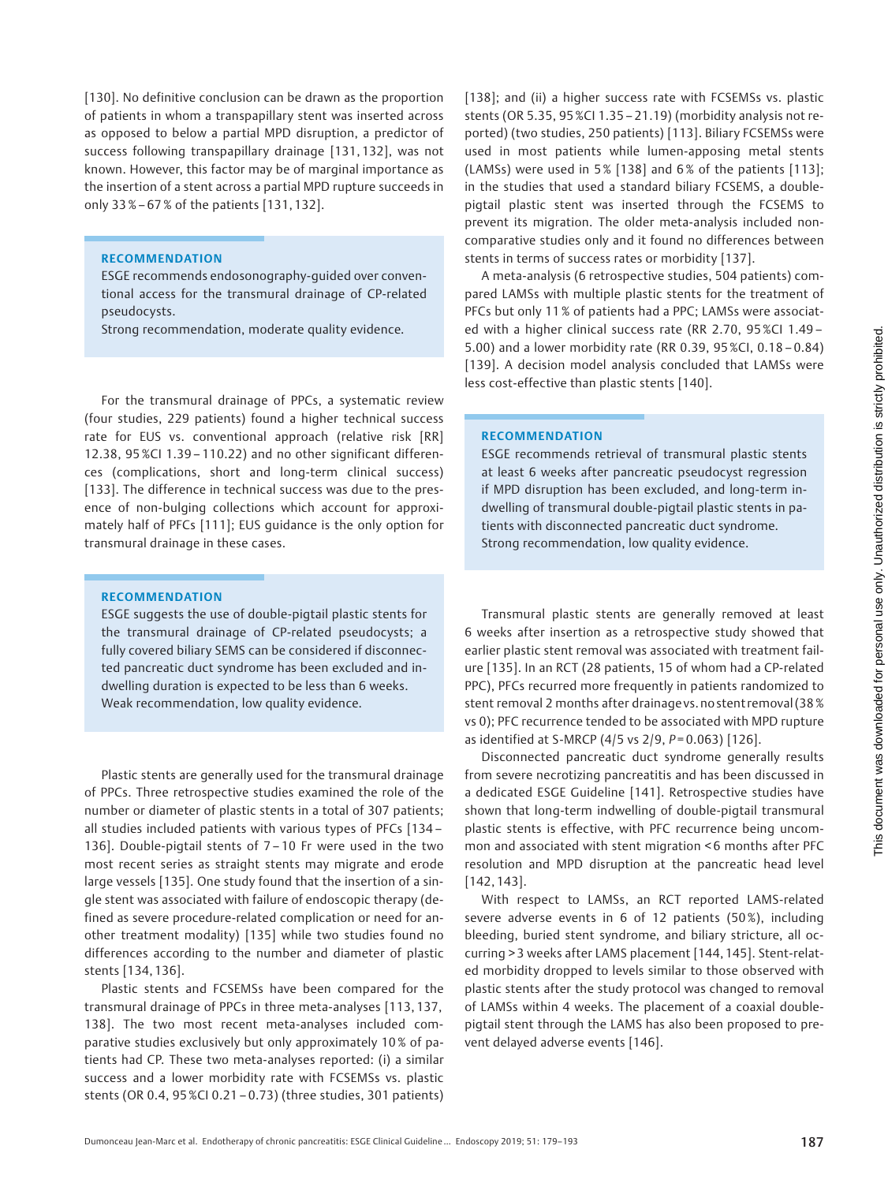[130]. No definitive conclusion can be drawn as the proportion of patients in whom a transpapillary stent was inserted across as opposed to below a partial MPD disruption, a predictor of success following transpapillary drainage [131, 132], was not known. However, this factor may be of marginal importance as the insertion of a stent across a partial MPD rupture succeeds in only 33%– 67 % of the patients [131, 132].

### RECOMMENDATION

ESGE recommends endosonography-guided over conventional access for the transmural drainage of CP-related pseudocysts.

Strong recommendation, moderate quality evidence.

For the transmural drainage of PPCs, a systematic review (four studies, 229 patients) found a higher technical success rate for EUS vs. conventional approach (relative risk [RR] 12.38, 95%CI 1.39 – 110.22) and no other significant differences (complications, short and long-term clinical success) [133]. The difference in technical success was due to the presence of non-bulging collections which account for approximately half of PFCs [111]; EUS guidance is the only option for transmural drainage in these cases.

### RECOMMENDATION

ESGE suggests the use of double-pigtail plastic stents for the transmural drainage of CP-related pseudocysts; a fully covered biliary SEMS can be considered if disconnected pancreatic duct syndrome has been excluded and indwelling duration is expected to be less than 6 weeks. Weak recommendation, low quality evidence.

Plastic stents are generally used for the transmural drainage of PPCs. Three retrospective studies examined the role of the number or diameter of plastic stents in a total of 307 patients; all studies included patients with various types of PFCs [134 – 136]. Double-pigtail stents of 7 – 10 Fr were used in the two most recent series as straight stents may migrate and erode large vessels [135]. One study found that the insertion of a single stent was associated with failure of endoscopic therapy (defined as severe procedure-related complication or need for another treatment modality) [135] while two studies found no differences according to the number and diameter of plastic stents [134, 136].

Plastic stents and FCSEMSs have been compared for the transmural drainage of PPCs in three meta-analyses [113, 137, 138]. The two most recent meta-analyses included comparative studies exclusively but only approximately 10 % of patients had CP. These two meta-analyses reported: (i) a similar success and a lower morbidity rate with FCSEMSs vs. plastic stents (OR 0.4, 95 %CI 0.21 – 0.73) (three studies, 301 patients)

[138]; and (ii) a higher success rate with FCSEMSs vs. plastic stents (OR 5.35, 95%CI 1.35 – 21.19) (morbidity analysis not reported) (two studies, 250 patients) [113]. Biliary FCSEMSs were used in most patients while lumen-apposing metal stents (LAMSs) were used in 5% [138] and 6 % of the patients [113]; in the studies that used a standard biliary FCSEMS, a doublepigtail plastic stent was inserted through the FCSEMS to prevent its migration. The older meta-analysis included noncomparative studies only and it found no differences between stents in terms of success rates or morbidity [137].

A meta-analysis (6 retrospective studies, 504 patients) compared LAMSs with multiple plastic stents for the treatment of PFCs but only 11 % of patients had a PPC; LAMSs were associated with a higher clinical success rate (RR 2.70, 95 %CI 1.49 – 5.00) and a lower morbidity rate (RR 0.39, 95 %CI, 0.18 – 0.84) [139]. A decision model analysis concluded that LAMSs were less cost-effective than plastic stents [140].

#### RECOMMENDATION

ESGE recommends retrieval of transmural plastic stents at least 6 weeks after pancreatic pseudocyst regression if MPD disruption has been excluded, and long-term indwelling of transmural double-pigtail plastic stents in patients with disconnected pancreatic duct syndrome. Strong recommendation, low quality evidence.

Transmural plastic stents are generally removed at least 6 weeks after insertion as a retrospective study showed that earlier plastic stent removal was associated with treatment failure [135]. In an RCT (28 patients, 15 of whom had a CP-related PPC), PFCs recurred more frequently in patients randomized to stent removal 2 months after drainagevs. no stent removal (38 % vs 0); PFC recurrence tended to be associated with MPD rupture as identified at S-MRCP (4/5 vs  $2/9$ ,  $P = 0.063$ ) [126].

Disconnected pancreatic duct syndrome generally results from severe necrotizing pancreatitis and has been discussed in a dedicated ESGE Guideline [141]. Retrospective studies have shown that long-term indwelling of double-pigtail transmural plastic stents is effective, with PFC recurrence being uncommon and associated with stent migration < 6 months after PFC resolution and MPD disruption at the pancreatic head level [142, 143].

With respect to LAMSs, an RCT reported LAMS-related severe adverse events in 6 of 12 patients (50%), including bleeding, buried stent syndrome, and biliary stricture, all occurring > 3 weeks after LAMS placement [144, 145]. Stent-related morbidity dropped to levels similar to those observed with plastic stents after the study protocol was changed to removal of LAMSs within 4 weeks. The placement of a coaxial doublepigtail stent through the LAMS has also been proposed to prevent delayed adverse events [146].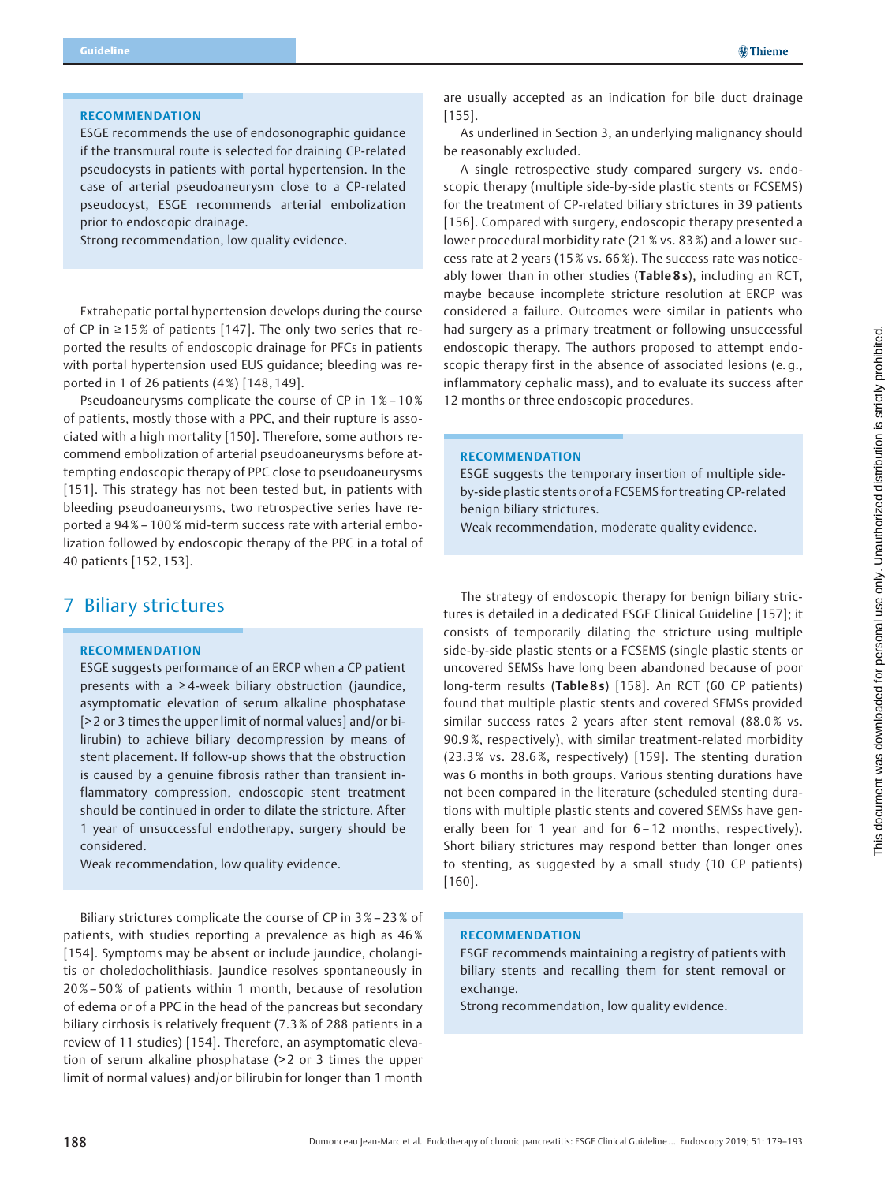### RECOMMENDATION

ESGE recommends the use of endosonographic guidance if the transmural route is selected for draining CP-related pseudocysts in patients with portal hypertension. In the case of arterial pseudoaneurysm close to a CP-related pseudocyst, ESGE recommends arterial embolization prior to endoscopic drainage.

Strong recommendation, low quality evidence.

Extrahepatic portal hypertension develops during the course of CP in ≥ 15 % of patients [147]. The only two series that reported the results of endoscopic drainage for PFCs in patients with portal hypertension used EUS guidance; bleeding was reported in 1 of 26 patients (4%) [148, 149].

Pseudoaneurysms complicate the course of CP in 1 %– 10% of patients, mostly those with a PPC, and their rupture is associated with a high mortality [150]. Therefore, some authors recommend embolization of arterial pseudoaneurysms before attempting endoscopic therapy of PPC close to pseudoaneurysms [151]. This strategy has not been tested but, in patients with bleeding pseudoaneurysms, two retrospective series have reported a 94%– 100 % mid-term success rate with arterial embolization followed by endoscopic therapy of the PPC in a total of 40 patients [152, 153].

## 7 Biliary strictures

#### RECOMMENDATION

ESGE suggests performance of an ERCP when a CP patient presents with a ≥ 4-week biliary obstruction (jaundice, asymptomatic elevation of serum alkaline phosphatase [> 2 or 3 times the upper limit of normal values] and/or bilirubin) to achieve biliary decompression by means of stent placement. If follow-up shows that the obstruction is caused by a genuine fibrosis rather than transient inflammatory compression, endoscopic stent treatment should be continued in order to dilate the stricture. After 1 year of unsuccessful endotherapy, surgery should be considered.

Weak recommendation, low quality evidence.

Biliary strictures complicate the course of CP in 3 %– 23% of patients, with studies reporting a prevalence as high as 46 % [154]. Symptoms may be absent or include jaundice, cholangitis or choledocholithiasis. Jaundice resolves spontaneously in 20%– 50% of patients within 1 month, because of resolution of edema or of a PPC in the head of the pancreas but secondary biliary cirrhosis is relatively frequent (7.3 % of 288 patients in a review of 11 studies) [154]. Therefore, an asymptomatic elevation of serum alkaline phosphatase (> 2 or 3 times the upper limit of normal values) and/or bilirubin for longer than 1 month

are usually accepted as an indication for bile duct drainage [155].

As underlined in Section 3, an underlying malignancy should be reasonably excluded.

A single retrospective study compared surgery vs. endoscopic therapy (multiple side-by-side plastic stents or FCSEMS) for the treatment of CP-related biliary strictures in 39 patients [156]. Compared with surgery, endoscopic therapy presented a lower procedural morbidity rate (21 % vs. 83 %) and a lower success rate at 2 years (15 % vs. 66 %). The success rate was noticeably lower than in other studies (Table 8s), including an RCT, maybe because incomplete stricture resolution at ERCP was considered a failure. Outcomes were similar in patients who had surgery as a primary treatment or following unsuccessful endoscopic therapy. The authors proposed to attempt endoscopic therapy first in the absence of associated lesions (e. g., inflammatory cephalic mass), and to evaluate its success after 12 months or three endoscopic procedures.

### RECOMMENDATION

ESGE suggests the temporary insertion of multiple sideby-side plastic stents or of a FCSEMS for treating CP-related benign biliary strictures.

Weak recommendation, moderate quality evidence.

The strategy of endoscopic therapy for benign biliary strictures is detailed in a dedicated ESGE Clinical Guideline [157]; it consists of temporarily dilating the stricture using multiple side-by-side plastic stents or a FCSEMS (single plastic stents or uncovered SEMSs have long been abandoned because of poor long-term results (Table 8s) [158]. An RCT (60 CP patients) found that multiple plastic stents and covered SEMSs provided similar success rates 2 years after stent removal (88.0% vs. 90.9 %, respectively), with similar treatment-related morbidity (23.3 % vs. 28.6 %, respectively) [159]. The stenting duration was 6 months in both groups. Various stenting durations have not been compared in the literature (scheduled stenting durations with multiple plastic stents and covered SEMSs have generally been for 1 year and for 6 – 12 months, respectively). Short biliary strictures may respond better than longer ones to stenting, as suggested by a small study (10 CP patients) [160].

### RECOMMENDATION

ESGE recommends maintaining a registry of patients with biliary stents and recalling them for stent removal or exchange.

Strong recommendation, low quality evidence.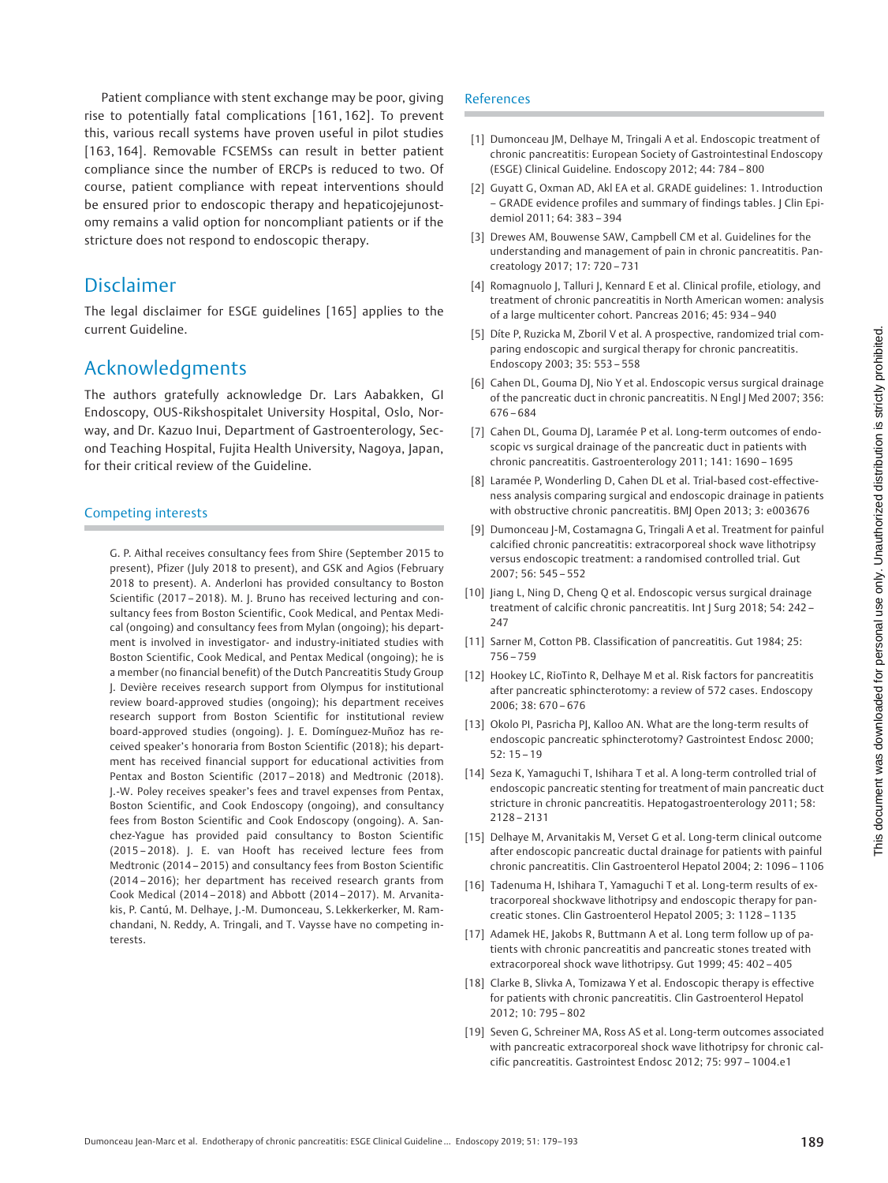Patient compliance with stent exchange may be poor, giving rise to potentially fatal complications [161, 162]. To prevent this, various recall systems have proven useful in pilot studies [163, 164]. Removable FCSEMSs can result in better patient compliance since the number of ERCPs is reduced to two. Of course, patient compliance with repeat interventions should be ensured prior to endoscopic therapy and hepaticojejunostomy remains a valid option for noncompliant patients or if the stricture does not respond to endoscopic therapy.

## Disclaimer

The legal disclaimer for ESGE guidelines [165] applies to the current Guideline.

## Acknowledgments

The authors gratefully acknowledge Dr. Lars Aabakken, GI Endoscopy, OUS-Rikshospitalet University Hospital, Oslo, Norway, and Dr. Kazuo Inui, Department of Gastroenterology, Second Teaching Hospital, Fujita Health University, Nagoya, Japan, for their critical review of the Guideline.

### Competing interests

G. P. Aithal receives consultancy fees from Shire (September 2015 to present), Pfizer (July 2018 to present), and GSK and Agios (February 2018 to present). A. Anderloni has provided consultancy to Boston Scientific (2017 – 2018). M. J. Bruno has received lecturing and consultancy fees from Boston Scientific, Cook Medical, and Pentax Medical (ongoing) and consultancy fees from Mylan (ongoing); his department is involved in investigator- and industry-initiated studies with Boston Scientific, Cook Medical, and Pentax Medical (ongoing); he is a member (no financial benefit) of the Dutch Pancreatitis Study Group J. Devière receives research support from Olympus for institutional review board-approved studies (ongoing); his department receives research support from Boston Scientific for institutional review board-approved studies (ongoing). J. E. Domínguez-Muñoz has received speaker's honoraria from Boston Scientific (2018); his department has received financial support for educational activities from Pentax and Boston Scientific (2017 – 2018) and Medtronic (2018). J.-W. Poley receives speaker's fees and travel expenses from Pentax, Boston Scientific, and Cook Endoscopy (ongoing), and consultancy fees from Boston Scientific and Cook Endoscopy (ongoing). A. Sanchez-Yague has provided paid consultancy to Boston Scientific (2015 – 2018). J. E. van Hooft has received lecture fees from Medtronic (2014 – 2015) and consultancy fees from Boston Scientific (2014 – 2016); her department has received research grants from Cook Medical (2014 – 2018) and Abbott (2014 – 2017). M. Arvanitakis, P. Cantú, M. Delhaye, J.-M. Dumonceau, S. Lekkerkerker, M. Ramchandani, N. Reddy, A. Tringali, and T. Vaysse have no competing interests.

### References

- [1] Dumonceau JM, Delhaye M, Tringali A et al. Endoscopic treatment of chronic pancreatitis: European Society of Gastrointestinal Endoscopy (ESGE) Clinical Guideline. Endoscopy 2012; 44: 784 – 800
- [2] Guyatt G, Oxman AD, Akl EA et al. GRADE guidelines: 1. Introduction – GRADE evidence profiles and summary of findings tables. J Clin Epidemiol 2011; 64: 383 – 394
- [3] Drewes AM, Bouwense SAW, Campbell CM et al. Guidelines for the understanding and management of pain in chronic pancreatitis. Pancreatology 2017; 17: 720 – 731
- [4] Romagnuolo J, Talluri J, Kennard E et al. Clinical profile, etiology, and treatment of chronic pancreatitis in North American women: analysis of a large multicenter cohort. Pancreas 2016; 45: 934 – 940
- [5] Díte P, Ruzicka M, Zboril V et al. A prospective, randomized trial comparing endoscopic and surgical therapy for chronic pancreatitis. Endoscopy 2003; 35: 553 – 558
- [6] Cahen DL, Gouma DJ, Nio Y et al. Endoscopic versus surgical drainage of the pancreatic duct in chronic pancreatitis. N Engl | Med 2007; 356: 676 – 684
- [7] Cahen DL, Gouma DJ, Laramée P et al. Long-term outcomes of endoscopic vs surgical drainage of the pancreatic duct in patients with chronic pancreatitis. Gastroenterology 2011; 141: 1690 – 1695
- [8] Laramée P, Wonderling D, Cahen DL et al. Trial-based cost-effectiveness analysis comparing surgical and endoscopic drainage in patients with obstructive chronic pancreatitis. BMJ Open 2013; 3: e003676
- [9] Dumonceau J-M, Costamagna G, Tringali A et al. Treatment for painful calcified chronic pancreatitis: extracorporeal shock wave lithotripsy versus endoscopic treatment: a randomised controlled trial. Gut 2007; 56: 545 – 552
- [10] Jiang L, Ning D, Cheng Q et al. Endoscopic versus surgical drainage treatment of calcific chronic pancreatitis. Int J Surg 2018; 54: 242 – 247
- [11] Sarner M, Cotton PB. Classification of pancreatitis. Gut 1984; 25: 756 – 759
- [12] Hookey LC, RioTinto R, Delhaye M et al. Risk factors for pancreatitis after pancreatic sphincterotomy: a review of 572 cases. Endoscopy 2006; 38: 670 – 676
- [13] Okolo PI, Pasricha PJ, Kalloo AN. What are the long-term results of endoscopic pancreatic sphincterotomy? Gastrointest Endosc 2000; 52: 15 – 19
- [14] Seza K, Yamaguchi T, Ishihara T et al. A long-term controlled trial of endoscopic pancreatic stenting for treatment of main pancreatic duct stricture in chronic pancreatitis. Hepatogastroenterology 2011; 58: 2128 – 2131
- [15] Delhaye M, Arvanitakis M, Verset G et al. Long-term clinical outcome after endoscopic pancreatic ductal drainage for patients with painful chronic pancreatitis. Clin Gastroenterol Hepatol 2004; 2: 1096 – 1106
- [16] Tadenuma H, Ishihara T, Yamaguchi T et al. Long-term results of extracorporeal shockwave lithotripsy and endoscopic therapy for pancreatic stones. Clin Gastroenterol Hepatol 2005; 3: 1128 – 1135
- [17] Adamek HE, Jakobs R, Buttmann A et al. Long term follow up of patients with chronic pancreatitis and pancreatic stones treated with extracorporeal shock wave lithotripsy. Gut 1999; 45: 402 – 405
- [18] Clarke B, Slivka A, Tomizawa Y et al. Endoscopic therapy is effective for patients with chronic pancreatitis. Clin Gastroenterol Hepatol 2012; 10: 795 – 802
- [19] Seven G, Schreiner MA, Ross AS et al. Long-term outcomes associated with pancreatic extracorporeal shock wave lithotripsy for chronic calcific pancreatitis. Gastrointest Endosc 2012; 75: 997 – 1004.e1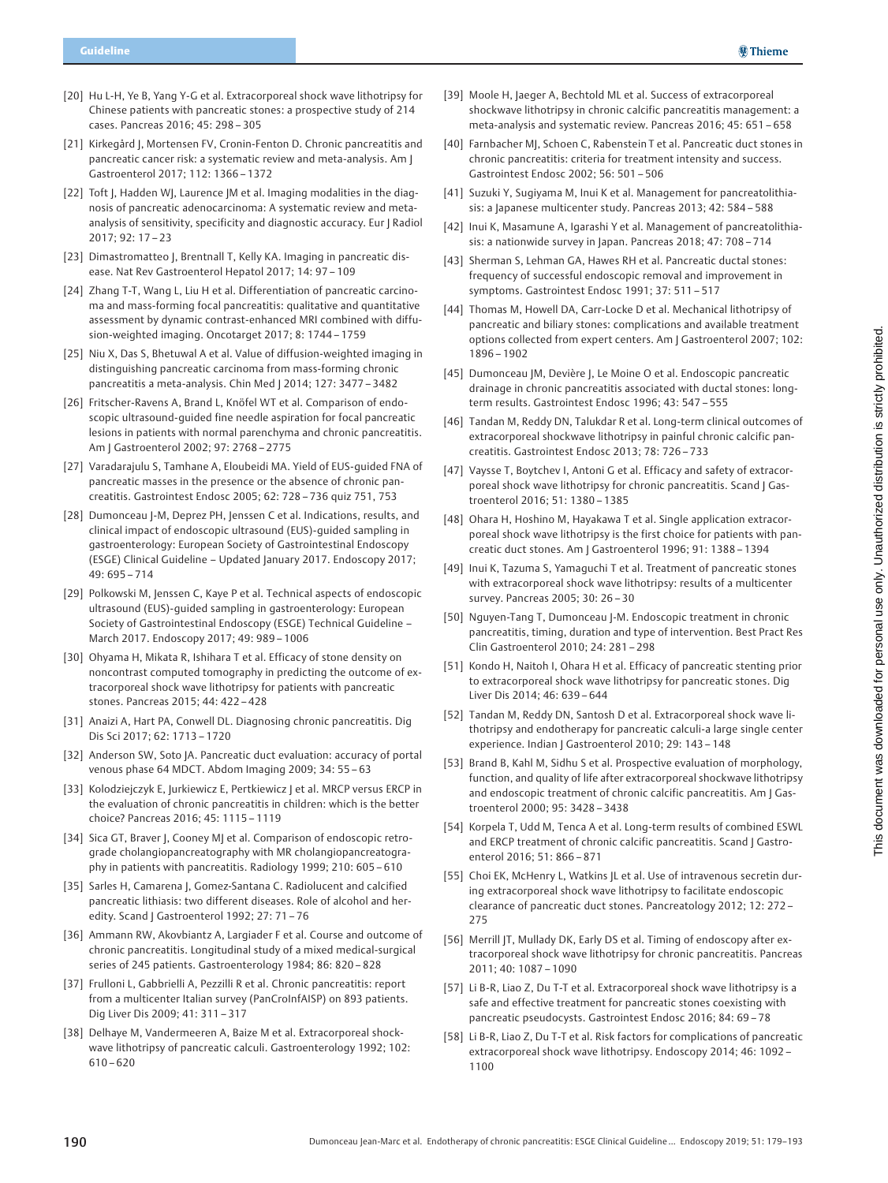- [20] Hu L-H, Ye B, Yang Y-G et al. Extracorporeal shock wave lithotripsy for Chinese patients with pancreatic stones: a prospective study of 214 cases. Pancreas 2016; 45: 298 – 305
- [21] Kirkegård J, Mortensen FV, Cronin-Fenton D. Chronic pancreatitis and pancreatic cancer risk: a systematic review and meta-analysis. Am J Gastroenterol 2017; 112: 1366 – 1372
- [22] Toft J, Hadden WJ, Laurence JM et al. Imaging modalities in the diagnosis of pancreatic adenocarcinoma: A systematic review and metaanalysis of sensitivity, specificity and diagnostic accuracy. Eur J Radiol 2017; 92: 17 – 23
- [23] Dimastromatteo J, Brentnall T, Kelly KA. Imaging in pancreatic disease. Nat Rev Gastroenterol Hepatol 2017; 14: 97 – 109
- [24] Zhang T-T, Wang L, Liu H et al. Differentiation of pancreatic carcinoma and mass-forming focal pancreatitis: qualitative and quantitative assessment by dynamic contrast-enhanced MRI combined with diffusion-weighted imaging. Oncotarget 2017; 8: 1744 – 1759
- [25] Niu X, Das S, Bhetuwal A et al. Value of diffusion-weighted imaging in distinguishing pancreatic carcinoma from mass-forming chronic pancreatitis a meta-analysis. Chin Med J 2014; 127: 3477 – 3482
- [26] Fritscher-Ravens A, Brand L, Knöfel WT et al. Comparison of endoscopic ultrasound-guided fine needle aspiration for focal pancreatic lesions in patients with normal parenchyma and chronic pancreatitis. Am J Gastroenterol 2002; 97: 2768 – 2775
- [27] Varadarajulu S, Tamhane A, Eloubeidi MA. Yield of EUS-quided FNA of pancreatic masses in the presence or the absence of chronic pancreatitis. Gastrointest Endosc 2005; 62: 728 – 736 quiz 751, 753
- [28] Dumonceau J-M, Deprez PH, Jenssen C et al. Indications, results, and clinical impact of endoscopic ultrasound (EUS)-guided sampling in gastroenterology: European Society of Gastrointestinal Endoscopy (ESGE) Clinical Guideline – Updated January 2017. Endoscopy 2017; 49: 695 – 714
- [29] Polkowski M, Jenssen C, Kaye P et al. Technical aspects of endoscopic ultrasound (EUS)-guided sampling in gastroenterology: European Society of Gastrointestinal Endoscopy (ESGE) Technical Guideline – March 2017. Endoscopy 2017; 49: 989 – 1006
- [30] Ohyama H, Mikata R, Ishihara T et al. Efficacy of stone density on noncontrast computed tomography in predicting the outcome of extracorporeal shock wave lithotripsy for patients with pancreatic stones. Pancreas 2015; 44: 422 – 428
- [31] Anaizi A, Hart PA, Conwell DL. Diagnosing chronic pancreatitis. Dig Dis Sci 2017; 62: 1713 – 1720
- [32] Anderson SW, Soto JA. Pancreatic duct evaluation: accuracy of portal venous phase 64 MDCT. Abdom Imaging 2009; 34: 55 – 63
- [33] Kolodziejczyk E, Jurkiewicz E, Pertkiewicz J et al. MRCP versus ERCP in the evaluation of chronic pancreatitis in children: which is the better choice? Pancreas 2016; 45: 1115 – 1119
- [34] Sica GT, Braver J, Cooney MJ et al. Comparison of endoscopic retrograde cholangiopancreatography with MR cholangiopancreatography in patients with pancreatitis. Radiology 1999; 210: 605 – 610
- [35] Sarles H, Camarena J, Gomez-Santana C. Radiolucent and calcified pancreatic lithiasis: two different diseases. Role of alcohol and heredity. Scand J Gastroenterol 1992; 27: 71-76
- [36] Ammann RW, Akovbiantz A, Largiader F et al. Course and outcome of chronic pancreatitis. Longitudinal study of a mixed medical-surgical series of 245 patients. Gastroenterology 1984; 86: 820 – 828
- [37] Frulloni L, Gabbrielli A, Pezzilli R et al. Chronic pancreatitis: report from a multicenter Italian survey (PanCroInfAISP) on 893 patients. Dig Liver Dis 2009; 41: 311 – 317
- [38] Delhaye M, Vandermeeren A, Baize M et al. Extracorporeal shockwave lithotripsy of pancreatic calculi. Gastroenterology 1992; 102: 610 – 620
- [39] Moole H, Jaeger A, Bechtold ML et al. Success of extracorporeal shockwave lithotripsy in chronic calcific pancreatitis management: a meta-analysis and systematic review. Pancreas 2016; 45: 651 – 658
- [40] Farnbacher MJ, Schoen C, Rabenstein T et al. Pancreatic duct stones in chronic pancreatitis: criteria for treatment intensity and success. Gastrointest Endosc 2002; 56: 501 – 506
- [41] Suzuki Y, Sugiyama M, Inui K et al. Management for pancreatolithiasis: a Japanese multicenter study. Pancreas 2013; 42: 584 – 588
- [42] Inui K, Masamune A, Igarashi Y et al. Management of pancreatolithiasis: a nationwide survey in Japan. Pancreas 2018; 47: 708 – 714
- [43] Sherman S, Lehman GA, Hawes RH et al. Pancreatic ductal stones: frequency of successful endoscopic removal and improvement in symptoms. Gastrointest Endosc 1991; 37: 511 – 517
- [44] Thomas M, Howell DA, Carr-Locke D et al. Mechanical lithotripsy of pancreatic and biliary stones: complications and available treatment options collected from expert centers. Am J Gastroenterol 2007; 102: 1896 – 1902
- [45] Dumonceau JM, Devière J, Le Moine O et al. Endoscopic pancreatic drainage in chronic pancreatitis associated with ductal stones: longterm results. Gastrointest Endosc 1996; 43: 547 – 555
- [46] Tandan M, Reddy DN, Talukdar R et al. Long-term clinical outcomes of extracorporeal shockwave lithotripsy in painful chronic calcific pancreatitis. Gastrointest Endosc 2013; 78: 726 – 733
- [47] Vaysse T, Boytchev I, Antoni G et al. Efficacy and safety of extracorporeal shock wave lithotripsy for chronic pancreatitis. Scand | Gastroenterol 2016; 51: 1380 – 1385
- [48] Ohara H, Hoshino M, Hayakawa T et al. Single application extracorporeal shock wave lithotripsy is the first choice for patients with pancreatic duct stones. Am J Gastroenterol 1996; 91: 1388 – 1394
- [49] Inui K, Tazuma S, Yamaguchi T et al. Treatment of pancreatic stones with extracorporeal shock wave lithotripsy: results of a multicenter survey. Pancreas 2005; 30: 26 – 30
- [50] Nguyen-Tang T, Dumonceau J-M. Endoscopic treatment in chronic pancreatitis, timing, duration and type of intervention. Best Pract Res Clin Gastroenterol 2010; 24: 281 – 298
- [51] Kondo H, Naitoh I, Ohara H et al. Efficacy of pancreatic stenting prior to extracorporeal shock wave lithotripsy for pancreatic stones. Dig Liver Dis 2014; 46: 639 – 644
- [52] Tandan M, Reddy DN, Santosh D et al. Extracorporeal shock wave lithotripsy and endotherapy for pancreatic calculi-a large single center experience. Indian J Gastroenterol 2010; 29: 143 – 148
- [53] Brand B, Kahl M, Sidhu S et al. Prospective evaluation of morphology, function, and quality of life after extracorporeal shockwave lithotripsy and endoscopic treatment of chronic calcific pancreatitis. Am J Gastroenterol 2000; 95: 3428 – 3438
- [54] Korpela T, Udd M, Tenca A et al. Long-term results of combined ESWL and ERCP treatment of chronic calcific pancreatitis. Scand J Gastroenterol 2016; 51: 866 – 871
- [55] Choi EK, McHenry L, Watkins JL et al. Use of intravenous secretin during extracorporeal shock wave lithotripsy to facilitate endoscopic clearance of pancreatic duct stones. Pancreatology 2012; 12: 272 – 275
- [56] Merrill JT, Mullady DK, Early DS et al. Timing of endoscopy after extracorporeal shock wave lithotripsy for chronic pancreatitis. Pancreas 2011; 40: 1087 – 1090
- [57] Li B-R, Liao Z, Du T-T et al. Extracorporeal shock wave lithotripsy is a safe and effective treatment for pancreatic stones coexisting with pancreatic pseudocysts. Gastrointest Endosc 2016; 84: 69 – 78
- [58] Li B-R, Liao Z, Du T-T et al. Risk factors for complications of pancreatic extracorporeal shock wave lithotripsy. Endoscopy 2014; 46: 1092 – 1100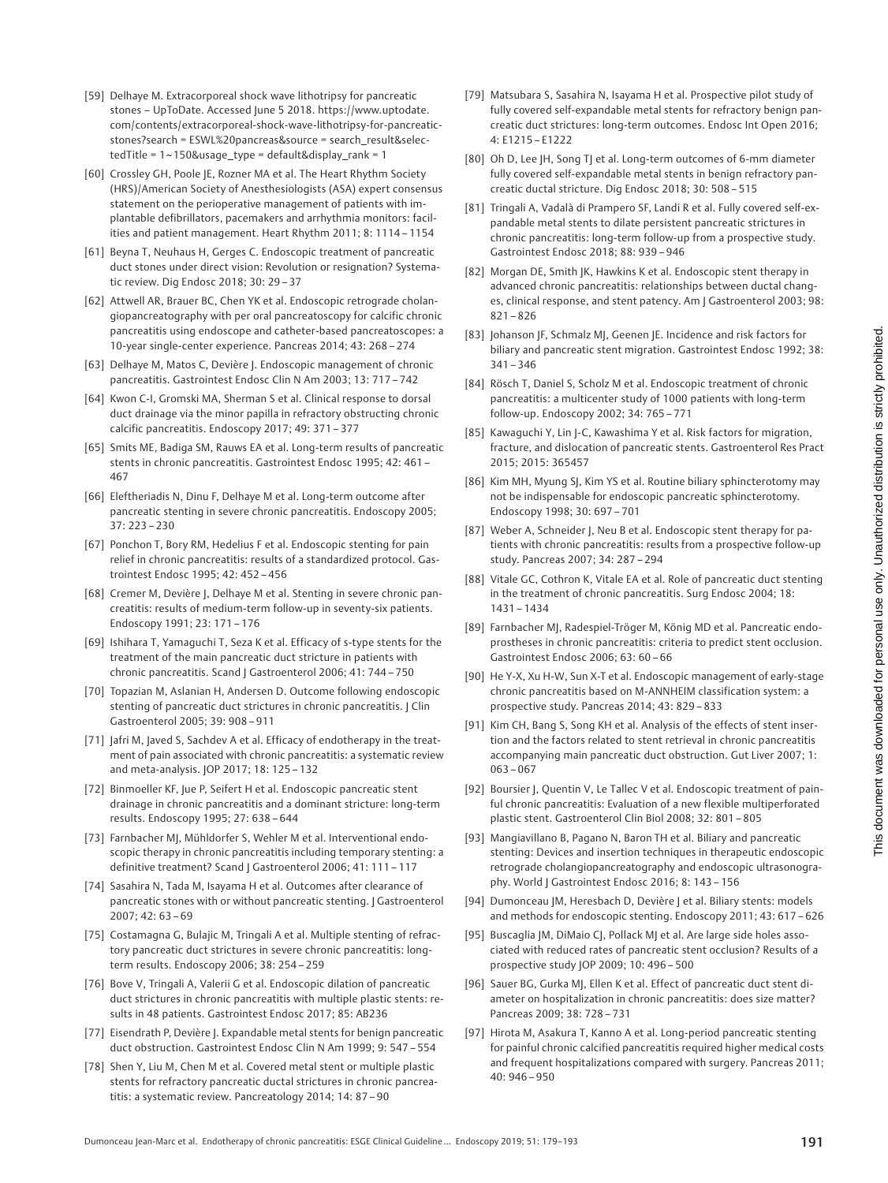- [59] Delhaye M. Extracorporeal shock wave lithotripsy for pancreatic stones – UpToDate. Accessed June 5 2018. https://www.uptodate. com/contents/extracorporeal-shock-wave-lithotripsy-for-pancreaticstones?search = ESWL%20pancreas&source = search\_result&selectedTitle = 1~150&usage\_type = default&display\_rank = 1
- [60] Crossley GH, Poole JE, Rozner MA et al. The Heart Rhythm Society (HRS)/American Society of Anesthesiologists (ASA) expert consensus statement on the perioperative management of patients with implantable defibrillators, pacemakers and arrhythmia monitors: facilities and patient management. Heart Rhythm 2011; 8: 1114 – 1154
- [61] Beyna T, Neuhaus H, Gerges C. Endoscopic treatment of pancreatic duct stones under direct vision: Revolution or resignation? Systematic review. Dig Endosc 2018; 30: 29 – 37
- [62] Attwell AR, Brauer BC, Chen YK et al. Endoscopic retrograde cholangiopancreatography with per oral pancreatoscopy for calcific chronic pancreatitis using endoscope and catheter-based pancreatoscopes: a 10-year single-center experience. Pancreas 2014; 43: 268 – 274
- [63] Delhaye M, Matos C, Devière J. Endoscopic management of chronic pancreatitis. Gastrointest Endosc Clin N Am 2003; 13: 717 – 742
- [64] Kwon C-I, Gromski MA, Sherman S et al. Clinical response to dorsal duct drainage via the minor papilla in refractory obstructing chronic calcific pancreatitis. Endoscopy 2017; 49: 371 – 377
- [65] Smits ME, Badiga SM, Rauws EA et al. Long-term results of pancreatic stents in chronic pancreatitis. Gastrointest Endosc 1995; 42: 461 – 467
- [66] Eleftheriadis N, Dinu F, Delhaye M et al. Long-term outcome after pancreatic stenting in severe chronic pancreatitis. Endoscopy 2005;  $37: 223 - 230$
- [67] Ponchon T, Bory RM, Hedelius F et al. Endoscopic stenting for pain relief in chronic pancreatitis: results of a standardized protocol. Gastrointest Endosc 1995; 42: 452 – 456
- [68] Cremer M, Devière J, Delhaye M et al. Stenting in severe chronic pancreatitis: results of medium-term follow-up in seventy-six patients. Endoscopy 1991; 23: 171 – 176
- [69] Ishihara T, Yamaguchi T, Seza K et al. Efficacy of s-type stents for the treatment of the main pancreatic duct stricture in patients with chronic pancreatitis. Scand J Gastroenterol 2006; 41: 744 – 750
- [70] Topazian M, Aslanian H, Andersen D. Outcome following endoscopic stenting of pancreatic duct strictures in chronic pancreatitis. J Clin Gastroenterol 2005; 39: 908 – 911
- [71] Jafri M, Javed S, Sachdev A et al. Efficacy of endotherapy in the treatment of pain associated with chronic pancreatitis: a systematic review and meta-analysis. JOP 2017; 18: 125 – 132
- [72] Binmoeller KF, Jue P, Seifert H et al. Endoscopic pancreatic stent drainage in chronic pancreatitis and a dominant stricture: long-term results. Endoscopy 1995; 27: 638 – 644
- [73] Farnbacher MJ, Mühldorfer S, Wehler M et al. Interventional endoscopic therapy in chronic pancreatitis including temporary stenting: a definitive treatment? Scand | Gastroenterol 2006; 41: 111-117
- [74] Sasahira N, Tada M, Isayama H et al. Outcomes after clearance of pancreatic stones with or without pancreatic stenting. J Gastroenterol 2007; 42: 63 – 69
- [75] Costamagna G, Bulajic M, Tringali A et al. Multiple stenting of refractory pancreatic duct strictures in severe chronic pancreatitis: longterm results. Endoscopy 2006; 38: 254 – 259
- [76] Bove V, Tringali A, Valerii G et al. Endoscopic dilation of pancreatic duct strictures in chronic pancreatitis with multiple plastic stents: results in 48 patients. Gastrointest Endosc 2017; 85: AB236
- [77] Eisendrath P, Devière J. Expandable metal stents for benign pancreatic duct obstruction. Gastrointest Endosc Clin N Am 1999; 9: 547 – 554
- [78] Shen Y, Liu M, Chen M et al. Covered metal stent or multiple plastic stents for refractory pancreatic ductal strictures in chronic pancreatitis: a systematic review. Pancreatology 2014; 14: 87 – 90
- [79] Matsubara S, Sasahira N, Isayama H et al. Prospective pilot study of fully covered self-expandable metal stents for refractory benign pancreatic duct strictures: long-term outcomes. Endosc Int Open 2016; 4: E1215 – E1222
- [80] Oh D, Lee JH, Song TJ et al. Long-term outcomes of 6-mm diameter fully covered self-expandable metal stents in benign refractory pancreatic ductal stricture. Dig Endosc 2018; 30: 508 – 515
- [81] Tringali A, Vadalà di Prampero SF, Landi R et al. Fully covered self-expandable metal stents to dilate persistent pancreatic strictures in chronic pancreatitis: long-term follow-up from a prospective study. Gastrointest Endosc 2018; 88: 939 – 946
- [82] Morgan DE, Smith JK, Hawkins K et al. Endoscopic stent therapy in advanced chronic pancreatitis: relationships between ductal changes, clinical response, and stent patency. Am J Gastroenterol 2003; 98: 821 – 826
- [83] Johanson JF, Schmalz MJ, Geenen JE. Incidence and risk factors for biliary and pancreatic stent migration. Gastrointest Endosc 1992; 38:  $341 - 346$
- [84] Rösch T, Daniel S, Scholz M et al. Endoscopic treatment of chronic pancreatitis: a multicenter study of 1000 patients with long-term follow-up. Endoscopy 2002; 34: 765 – 771
- [85] Kawaguchi Y, Lin J-C, Kawashima Y et al. Risk factors for migration, fracture, and dislocation of pancreatic stents. Gastroenterol Res Pract 2015; 2015: 365457
- [86] Kim MH, Myung SJ, Kim YS et al. Routine biliary sphincterotomy may not be indispensable for endoscopic pancreatic sphincterotomy. Endoscopy 1998; 30: 697 – 701
- [87] Weber A, Schneider J, Neu B et al. Endoscopic stent therapy for patients with chronic pancreatitis: results from a prospective follow-up study. Pancreas 2007; 34: 287 – 294
- [88] Vitale GC, Cothron K, Vitale EA et al. Role of pancreatic duct stenting in the treatment of chronic pancreatitis. Surg Endosc 2004; 18: 1431 – 1434
- [89] Farnbacher MJ, Radespiel-Tröger M, König MD et al. Pancreatic endoprostheses in chronic pancreatitis: criteria to predict stent occlusion. Gastrointest Endosc 2006; 63: 60 – 66
- [90] He Y-X, Xu H-W, Sun X-T et al. Endoscopic management of early-stage chronic pancreatitis based on M-ANNHEIM classification system: a prospective study. Pancreas 2014; 43: 829 – 833
- [91] Kim CH, Bang S, Song KH et al. Analysis of the effects of stent insertion and the factors related to stent retrieval in chronic pancreatitis accompanying main pancreatic duct obstruction. Gut Liver 2007; 1: 063 – 067
- [92] Boursier J, Quentin V, Le Tallec V et al. Endoscopic treatment of painful chronic pancreatitis: Evaluation of a new flexible multiperforated plastic stent. Gastroenterol Clin Biol 2008; 32: 801 – 805
- [93] Mangiavillano B, Pagano N, Baron TH et al. Biliary and pancreatic stenting: Devices and insertion techniques in therapeutic endoscopic retrograde cholangiopancreatography and endoscopic ultrasonography. World J Gastrointest Endosc 2016; 8: 143 – 156
- [94] Dumonceau JM, Heresbach D, Devière J et al. Biliary stents: models and methods for endoscopic stenting. Endoscopy 2011; 43: 617 – 626
- [95] Buscaglia JM, DiMaio CJ, Pollack MJ et al. Are large side holes associated with reduced rates of pancreatic stent occlusion? Results of a prospective study JOP 2009; 10: 496 – 500
- [96] Sauer BG, Gurka MJ, Ellen K et al. Effect of pancreatic duct stent diameter on hospitalization in chronic pancreatitis: does size matter? Pancreas 2009; 38: 728 – 731
- [97] Hirota M, Asakura T, Kanno A et al. Long-period pancreatic stenting for painful chronic calcified pancreatitis required higher medical costs and frequent hospitalizations compared with surgery. Pancreas 2011; 40: 946 – 950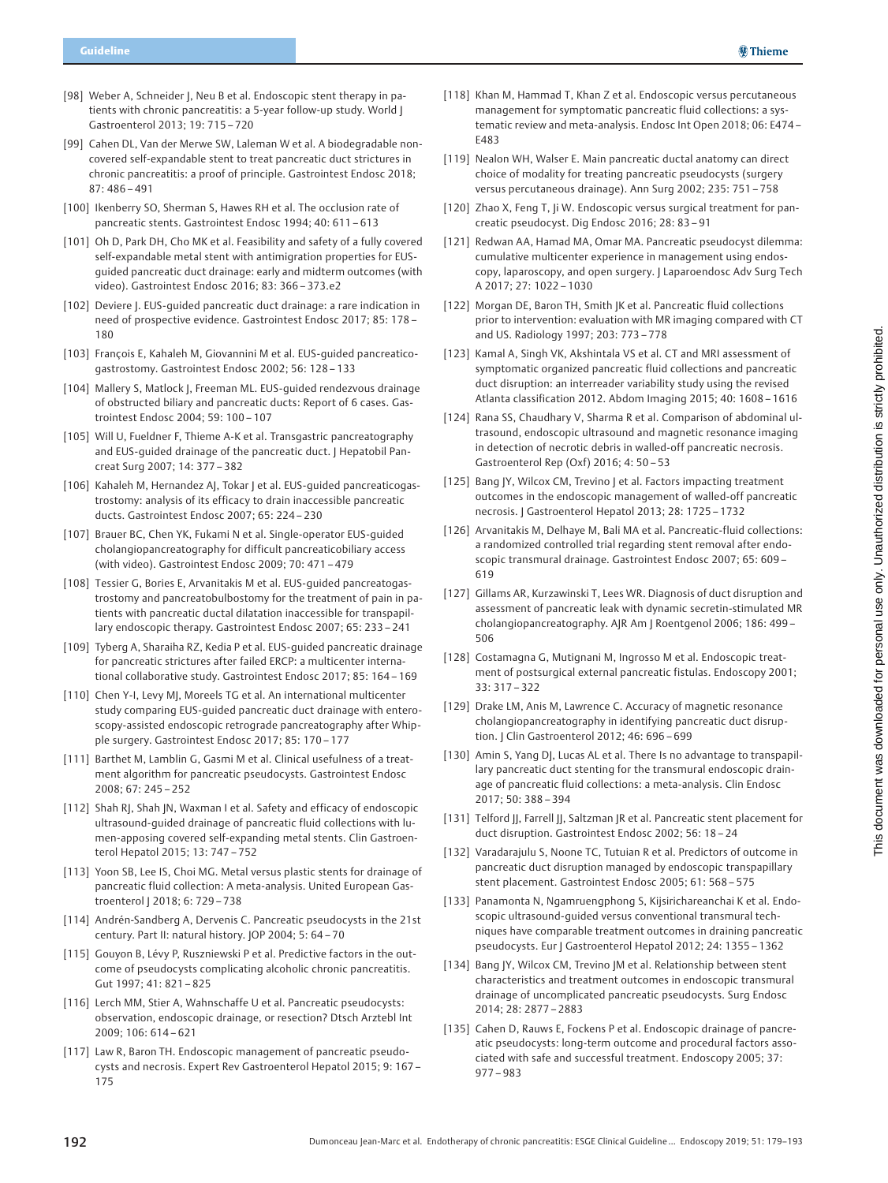- [98] Weber A, Schneider J, Neu B et al. Endoscopic stent therapy in patients with chronic pancreatitis: a 5-year follow-up study. World J Gastroenterol 2013; 19: 715 – 720
- [99] Cahen DL, Van der Merwe SW, Laleman W et al. A biodegradable noncovered self-expandable stent to treat pancreatic duct strictures in chronic pancreatitis: a proof of principle. Gastrointest Endosc 2018; 87: 486 – 491
- [100] Ikenberry SO, Sherman S, Hawes RH et al. The occlusion rate of pancreatic stents. Gastrointest Endosc 1994; 40: 611 – 613
- [101] Oh D, Park DH, Cho MK et al. Feasibility and safety of a fully covered self-expandable metal stent with antimigration properties for EUSguided pancreatic duct drainage: early and midterm outcomes (with video). Gastrointest Endosc 2016; 83: 366 – 373.e2
- [102] Deviere J. EUS-guided pancreatic duct drainage: a rare indication in need of prospective evidence. Gastrointest Endosc 2017; 85: 178 – 180
- [103] François E, Kahaleh M, Giovannini M et al. EUS-quided pancreaticogastrostomy. Gastrointest Endosc 2002; 56: 128 – 133
- [104] Mallery S, Matlock J, Freeman ML. EUS-guided rendezvous drainage of obstructed biliary and pancreatic ducts: Report of 6 cases. Gastrointest Endosc 2004; 59: 100 – 107
- [105] Will U, Fueldner F, Thieme A-K et al. Transgastric pancreatography and EUS-guided drainage of the pancreatic duct. J Hepatobil Pancreat Surg 2007; 14: 377 – 382
- [106] Kahaleh M, Hernandez AJ, Tokar J et al. EUS-guided pancreaticogastrostomy: analysis of its efficacy to drain inaccessible pancreatic ducts. Gastrointest Endosc 2007; 65: 224 – 230
- [107] Brauer BC, Chen YK, Fukami N et al. Single-operator EUS-guided cholangiopancreatography for difficult pancreaticobiliary access (with video). Gastrointest Endosc 2009; 70: 471 – 479
- [108] Tessier G, Bories E, Arvanitakis M et al. EUS-quided pancreatogastrostomy and pancreatobulbostomy for the treatment of pain in patients with pancreatic ductal dilatation inaccessible for transpapillary endoscopic therapy. Gastrointest Endosc 2007; 65: 233 – 241
- [109] Tyberg A, Sharaiha RZ, Kedia P et al. EUS-guided pancreatic drainage for pancreatic strictures after failed ERCP: a multicenter international collaborative study. Gastrointest Endosc 2017; 85: 164 – 169
- [110] Chen Y-I, Levy MJ, Moreels TG et al. An international multicenter study comparing EUS-guided pancreatic duct drainage with enteroscopy-assisted endoscopic retrograde pancreatography after Whipple surgery. Gastrointest Endosc 2017; 85: 170 – 177
- [111] Barthet M, Lamblin G, Gasmi M et al. Clinical usefulness of a treatment algorithm for pancreatic pseudocysts. Gastrointest Endosc 2008; 67: 245 – 252
- [112] Shah RJ, Shah JN, Waxman I et al. Safety and efficacy of endoscopic ultrasound-guided drainage of pancreatic fluid collections with lumen-apposing covered self-expanding metal stents. Clin Gastroenterol Hepatol 2015; 13: 747 – 752
- [113] Yoon SB, Lee IS, Choi MG. Metal versus plastic stents for drainage of pancreatic fluid collection: A meta-analysis. United European Gastroenterol J 2018; 6: 729 – 738
- [114] Andrén-Sandberg A, Dervenis C. Pancreatic pseudocysts in the 21st century. Part II: natural history. JOP 2004; 5: 64 – 70
- [115] Gouyon B, Lévy P, Ruszniewski P et al. Predictive factors in the outcome of pseudocysts complicating alcoholic chronic pancreatitis. Gut 1997; 41: 821 – 825
- [116] Lerch MM, Stier A, Wahnschaffe U et al. Pancreatic pseudocysts: observation, endoscopic drainage, or resection? Dtsch Arztebl Int 2009; 106: 614 – 621
- [117] Law R, Baron TH. Endoscopic management of pancreatic pseudocysts and necrosis. Expert Rev Gastroenterol Hepatol 2015; 9: 167 – 175
- [118] Khan M, Hammad T, Khan Z et al. Endoscopic versus percutaneous management for symptomatic pancreatic fluid collections: a systematic review and meta-analysis. Endosc Int Open 2018; 06: E474 – E483
- [119] Nealon WH, Walser E. Main pancreatic ductal anatomy can direct choice of modality for treating pancreatic pseudocysts (surgery versus percutaneous drainage). Ann Surg 2002; 235: 751 – 758
- [120] Zhao X, Feng T, Ji W. Endoscopic versus surgical treatment for pancreatic pseudocyst. Dig Endosc 2016; 28: 83 – 91
- [121] Redwan AA, Hamad MA, Omar MA. Pancreatic pseudocyst dilemma: cumulative multicenter experience in management using endoscopy, laparoscopy, and open surgery. J Laparoendosc Adv Surg Tech A 2017; 27: 1022 – 1030
- [122] Morgan DE, Baron TH, Smith JK et al. Pancreatic fluid collections prior to intervention: evaluation with MR imaging compared with CT and US. Radiology 1997; 203: 773 – 778
- [123] Kamal A, Singh VK, Akshintala VS et al. CT and MRI assessment of symptomatic organized pancreatic fluid collections and pancreatic duct disruption: an interreader variability study using the revised Atlanta classification 2012. Abdom Imaging 2015; 40: 1608 – 1616
- [124] Rana SS, Chaudhary V, Sharma R et al. Comparison of abdominal ultrasound, endoscopic ultrasound and magnetic resonance imaging in detection of necrotic debris in walled-off pancreatic necrosis. Gastroenterol Rep (Oxf) 2016; 4: 50 – 53
- [125] Bang JY, Wilcox CM, Trevino J et al. Factors impacting treatment outcomes in the endoscopic management of walled-off pancreatic necrosis. J Gastroenterol Hepatol 2013; 28: 1725 – 1732
- [126] Arvanitakis M, Delhaye M, Bali MA et al. Pancreatic-fluid collections: a randomized controlled trial regarding stent removal after endoscopic transmural drainage. Gastrointest Endosc 2007; 65: 609 – 619
- [127] Gillams AR, Kurzawinski T, Lees WR. Diagnosis of duct disruption and assessment of pancreatic leak with dynamic secretin-stimulated MR cholangiopancreatography. AJR Am J Roentgenol 2006; 186: 499 – 506
- [128] Costamagna G, Mutignani M, Ingrosso M et al. Endoscopic treatment of postsurgical external pancreatic fistulas. Endoscopy 2001; 33: 317 – 322
- [129] Drake LM, Anis M, Lawrence C. Accuracy of magnetic resonance cholangiopancreatography in identifying pancreatic duct disruption. J Clin Gastroenterol 2012; 46: 696 – 699
- [130] Amin S, Yang DJ, Lucas AL et al. There Is no advantage to transpapillary pancreatic duct stenting for the transmural endoscopic drainage of pancreatic fluid collections: a meta-analysis. Clin Endosc 2017; 50: 388 – 394
- [131] Telford JJ, Farrell JJ, Saltzman JR et al. Pancreatic stent placement for duct disruption. Gastrointest Endosc 2002; 56: 18 – 24
- [132] Varadarajulu S, Noone TC, Tutuian R et al. Predictors of outcome in pancreatic duct disruption managed by endoscopic transpapillary stent placement. Gastrointest Endosc 2005; 61: 568 – 575
- [133] Panamonta N, Ngamruengphong S, Kijsirichareanchai K et al. Endoscopic ultrasound-guided versus conventional transmural techniques have comparable treatment outcomes in draining pancreatic pseudocysts. Eur J Gastroenterol Hepatol 2012; 24: 1355 – 1362
- [134] Bang JY, Wilcox CM, Trevino JM et al. Relationship between stent characteristics and treatment outcomes in endoscopic transmural drainage of uncomplicated pancreatic pseudocysts. Surg Endosc 2014; 28: 2877 – 2883
- [135] Cahen D, Rauws E, Fockens P et al. Endoscopic drainage of pancreatic pseudocysts: long-term outcome and procedural factors associated with safe and successful treatment. Endoscopy 2005; 37: 977 – 983